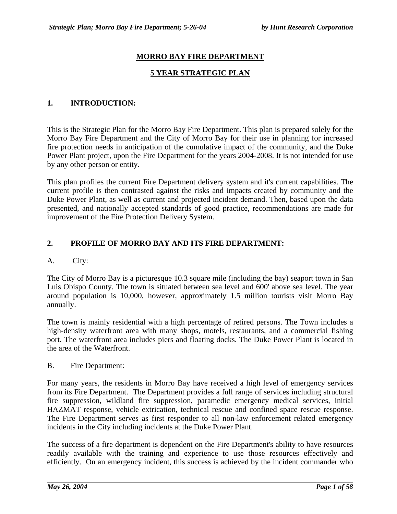# **MORRO BAY FIRE DEPARTMENT**

### **5 YEAR STRATEGIC PLAN**

### **1. INTRODUCTION:**

This is the Strategic Plan for the Morro Bay Fire Department. This plan is prepared solely for the Morro Bay Fire Department and the City of Morro Bay for their use in planning for increased fire protection needs in anticipation of the cumulative impact of the community, and the Duke Power Plant project, upon the Fire Department for the years 2004-2008. It is not intended for use by any other person or entity.

This plan profiles the current Fire Department delivery system and it's current capabilities. The current profile is then contrasted against the risks and impacts created by community and the Duke Power Plant, as well as current and projected incident demand. Then, based upon the data presented, and nationally accepted standards of good practice, recommendations are made for improvement of the Fire Protection Delivery System.

### **2. PROFILE OF MORRO BAY AND ITS FIRE DEPARTMENT:**

#### A. City:

The City of Morro Bay is a picturesque 10.3 square mile (including the bay) seaport town in San Luis Obispo County. The town is situated between sea level and 600' above sea level. The year around population is 10,000, however, approximately 1.5 million tourists visit Morro Bay annually.

The town is mainly residential with a high percentage of retired persons. The Town includes a high-density waterfront area with many shops, motels, restaurants, and a commercial fishing port. The waterfront area includes piers and floating docks. The Duke Power Plant is located in the area of the Waterfront.

#### B. Fire Department:

For many years, the residents in Morro Bay have received a high level of emergency services from its Fire Department. The Department provides a full range of services including structural fire suppression, wildland fire suppression, paramedic emergency medical services, initial HAZMAT response, vehicle extrication, technical rescue and confined space rescue response. The Fire Department serves as first responder to all non-law enforcement related emergency incidents in the City including incidents at the Duke Power Plant.

The success of a fire department is dependent on the Fire Department's ability to have resources readily available with the training and experience to use those resources effectively and efficiently. On an emergency incident, this success is achieved by the incident commander who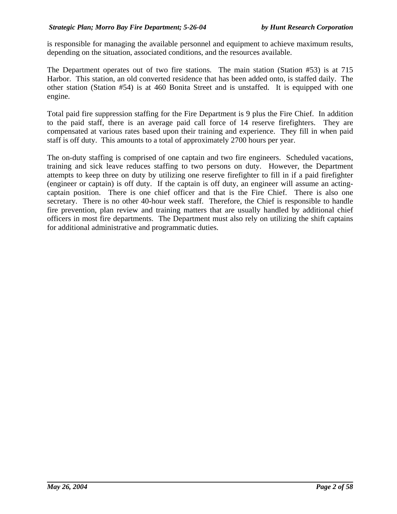is responsible for managing the available personnel and equipment to achieve maximum results, depending on the situation, associated conditions, and the resources available.

The Department operates out of two fire stations. The main station (Station #53) is at 715 Harbor. This station, an old converted residence that has been added onto, is staffed daily. The other station (Station #54) is at 460 Bonita Street and is unstaffed. It is equipped with one engine.

Total paid fire suppression staffing for the Fire Department is 9 plus the Fire Chief. In addition to the paid staff, there is an average paid call force of 14 reserve firefighters. They are compensated at various rates based upon their training and experience. They fill in when paid staff is off duty. This amounts to a total of approximately 2700 hours per year.

The on-duty staffing is comprised of one captain and two fire engineers. Scheduled vacations, training and sick leave reduces staffing to two persons on duty. However, the Department attempts to keep three on duty by utilizing one reserve firefighter to fill in if a paid firefighter (engineer or captain) is off duty. If the captain is off duty, an engineer will assume an actingcaptain position. There is one chief officer and that is the Fire Chief. There is also one secretary. There is no other 40-hour week staff. Therefore, the Chief is responsible to handle fire prevention, plan review and training matters that are usually handled by additional chief officers in most fire departments. The Department must also rely on utilizing the shift captains for additional administrative and programmatic duties.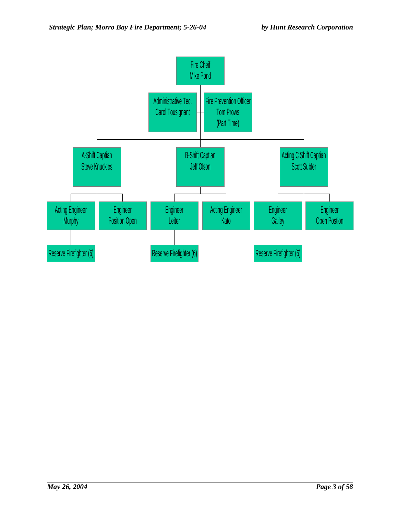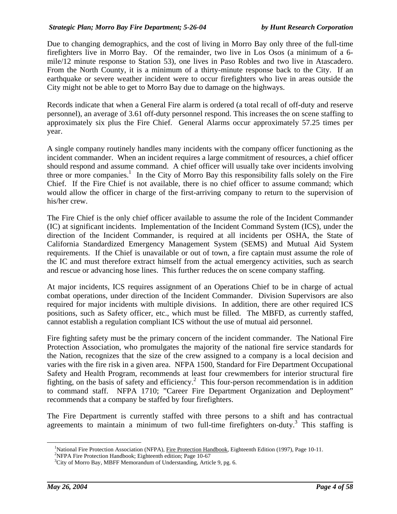Due to changing demographics, and the cost of living in Morro Bay only three of the full-time firefighters live in Morro Bay. Of the remainder, two live in Los Osos (a minimum of a 6 mile/12 minute response to Station 53), one lives in Paso Robles and two live in Atascadero. From the North County, it is a minimum of a thirty-minute response back to the City. If an earthquake or severe weather incident were to occur firefighters who live in areas outside the City might not be able to get to Morro Bay due to damage on the highways.

Records indicate that when a General Fire alarm is ordered (a total recall of off-duty and reserve personnel), an average of 3.61 off-duty personnel respond. This increases the on scene staffing to approximately six plus the Fire Chief. General Alarms occur approximately 57.25 times per year.

A single company routinely handles many incidents with the company officer functioning as the incident commander. When an incident requires a large commitment of resources, a chief officer should respond and assume command. A chief officer will usually take over incidents involving three or more companies.<sup>1</sup> In the City of Morro Bay this responsibility falls solely on the Fire Chief. If the Fire Chief is not available, there is no chief officer to assume command; which would allow the officer in charge of the first-arriving company to return to the supervision of his/her crew.

The Fire Chief is the only chief officer available to assume the role of the Incident Commander (IC) at significant incidents. Implementation of the Incident Command System (ICS), under the direction of the Incident Commander, is required at all incidents per OSHA, the State of California Standardized Emergency Management System (SEMS) and Mutual Aid System requirements. If the Chief is unavailable or out of town, a fire captain must assume the role of the IC and must therefore extract himself from the actual emergency activities, such as search and rescue or advancing hose lines. This further reduces the on scene company staffing.

At major incidents, ICS requires assignment of an Operations Chief to be in charge of actual combat operations, under direction of the Incident Commander. Division Supervisors are also required for major incidents with multiple divisions. In addition, there are other required ICS positions, such as Safety officer, etc., which must be filled. The MBFD, as currently staffed, cannot establish a regulation compliant ICS without the use of mutual aid personnel.

Fire fighting safety must be the primary concern of the incident commander. The National Fire Protection Association, who promulgates the majority of the national fire service standards for the Nation, recognizes that the size of the crew assigned to a company is a local decision and varies with the fire risk in a given area. NFPA 1500, Standard for Fire Department Occupational Safety and Health Program, recommends at least four crewmembers for interior structural fire fighting, on the basis of safety and efficiency.<sup>2</sup> This four-person recommendation is in addition to command staff. NFPA 1710; "Career Fire Department Organization and Deployment" recommends that a company be staffed by four firefighters.

The Fire Department is currently staffed with three persons to a shift and has contractual agreements to maintain a minimum of two full-time firefighters on-duty.<sup>3</sup> This staffing is

 $\frac{1}{1}$ <sup>1</sup>National Fire Protection Association (NFPA), Fire Protection Handbook, Eighteenth Edition (1997), Page 10-11.

<sup>&</sup>lt;sup>2</sup>NFPA Fire Protection Handbook; Eighteenth edition; Page 10-67

<sup>&</sup>lt;sup>3</sup>City of Morro Bay, MBFF Memorandum of Understanding, Article 9, pg. 6.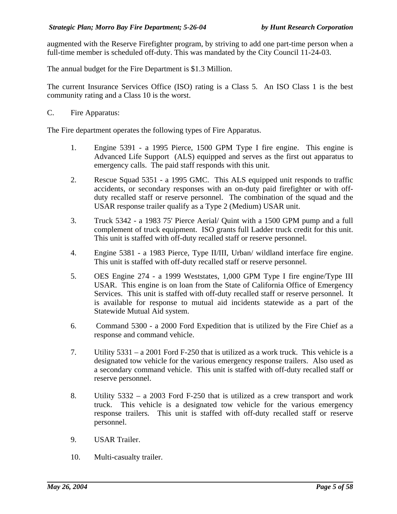augmented with the Reserve Firefighter program, by striving to add one part-time person when a full-time member is scheduled off-duty. This was mandated by the City Council 11-24-03.

The annual budget for the Fire Department is \$1.3 Million.

The current Insurance Services Office (ISO) rating is a Class 5. An ISO Class 1 is the best community rating and a Class 10 is the worst.

C. Fire Apparatus:

The Fire department operates the following types of Fire Apparatus.

- 1. Engine 5391 a 1995 Pierce, 1500 GPM Type I fire engine. This engine is Advanced Life Support (ALS) equipped and serves as the first out apparatus to emergency calls. The paid staff responds with this unit.
- 2. Rescue Squad 5351 a 1995 GMC. This ALS equipped unit responds to traffic accidents, or secondary responses with an on-duty paid firefighter or with offduty recalled staff or reserve personnel. The combination of the squad and the USAR response trailer qualify as a Type 2 (Medium) USAR unit.
- 3. Truck 5342 a 1983 75' Pierce Aerial/ Quint with a 1500 GPM pump and a full complement of truck equipment. ISO grants full Ladder truck credit for this unit. This unit is staffed with off-duty recalled staff or reserve personnel.
- 4. Engine 5381 a 1983 Pierce, Type II/III, Urban/ wildland interface fire engine. This unit is staffed with off-duty recalled staff or reserve personnel.
- 5. OES Engine 274 a 1999 Weststates, 1,000 GPM Type I fire engine/Type III USAR. This engine is on loan from the State of California Office of Emergency Services. This unit is staffed with off-duty recalled staff or reserve personnel. It is available for response to mutual aid incidents statewide as a part of the Statewide Mutual Aid system.
- 6. Command 5300 a 2000 Ford Expedition that is utilized by the Fire Chief as a response and command vehicle.
- 7. Utility 5331 a 2001 Ford F-250 that is utilized as a work truck. This vehicle is a designated tow vehicle for the various emergency response trailers. Also used as a secondary command vehicle. This unit is staffed with off-duty recalled staff or reserve personnel.
- 8. Utility 5332 a 2003 Ford F-250 that is utilized as a crew transport and work truck. This vehicle is a designated tow vehicle for the various emergency response trailers. This unit is staffed with off-duty recalled staff or reserve personnel.
- 9. USAR Trailer.
- 10. Multi-casualty trailer.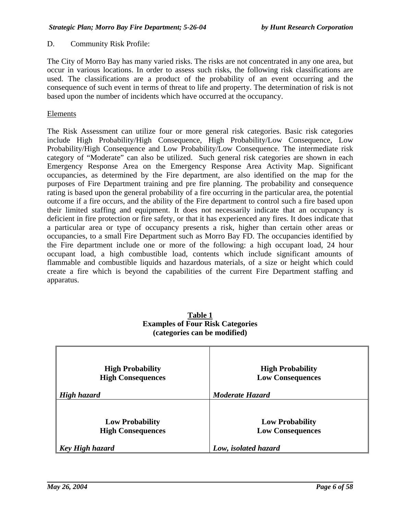#### D. Community Risk Profile:

The City of Morro Bay has many varied risks. The risks are not concentrated in any one area, but occur in various locations. In order to assess such risks, the following risk classifications are used. The classifications are a product of the probability of an event occurring and the consequence of such event in terms of threat to life and property. The determination of risk is not based upon the number of incidents which have occurred at the occupancy.

#### Elements

The Risk Assessment can utilize four or more general risk categories. Basic risk categories include High Probability/High Consequence, High Probability/Low Consequence, Low Probability/High Consequence and Low Probability/Low Consequence. The intermediate risk category of "Moderate" can also be utilized. Such general risk categories are shown in each Emergency Response Area on the Emergency Response Area Activity Map. Significant occupancies, as determined by the Fire department, are also identified on the map for the purposes of Fire Department training and pre fire planning. The probability and consequence rating is based upon the general probability of a fire occurring in the particular area, the potential outcome if a fire occurs, and the ability of the Fire department to control such a fire based upon their limited staffing and equipment. It does not necessarily indicate that an occupancy is deficient in fire protection or fire safety, or that it has experienced any fires. It does indicate that a particular area or type of occupancy presents a risk, higher than certain other areas or occupancies, to a small Fire Department such as Morro Bay FD. The occupancies identified by the Fire department include one or more of the following: a high occupant load, 24 hour occupant load, a high combustible load, contents which include significant amounts of flammable and combustible liquids and hazardous materials, of a size or height which could create a fire which is beyond the capabilities of the current Fire Department staffing and apparatus.

| <b>High Probability</b><br><b>High Consequences</b><br>High hazard | <b>High Probability</b><br><b>Low Consequences</b><br><b>Moderate Hazard</b> |
|--------------------------------------------------------------------|------------------------------------------------------------------------------|
|                                                                    |                                                                              |
| <b>Low Probability</b><br><b>High Consequences</b>                 | <b>Low Probability</b><br><b>Low Consequences</b>                            |
| Key High hazard                                                    | Low, isolated hazard                                                         |

#### **Table 1 Examples of Four Risk Categories (categories can be modified)**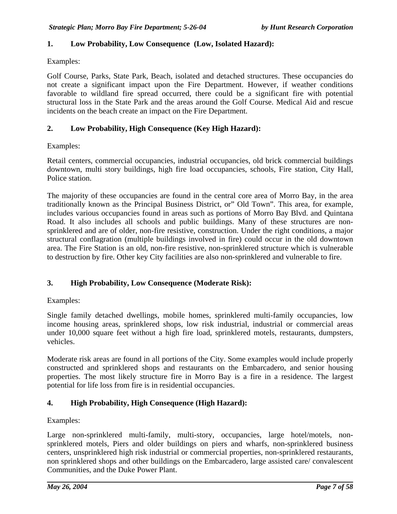### **1. Low Probability, Low Consequence (Low, Isolated Hazard):**

Examples:

Golf Course, Parks, State Park, Beach, isolated and detached structures. These occupancies do not create a significant impact upon the Fire Department. However, if weather conditions favorable to wildland fire spread occurred, there could be a significant fire with potential structural loss in the State Park and the areas around the Golf Course. Medical Aid and rescue incidents on the beach create an impact on the Fire Department.

### **2. Low Probability, High Consequence (Key High Hazard):**

Examples:

Retail centers, commercial occupancies, industrial occupancies, old brick commercial buildings downtown, multi story buildings, high fire load occupancies, schools, Fire station, City Hall, Police station.

The majority of these occupancies are found in the central core area of Morro Bay, in the area traditionally known as the Principal Business District, or" Old Town". This area, for example, includes various occupancies found in areas such as portions of Morro Bay Blvd. and Quintana Road. It also includes all schools and public buildings. Many of these structures are nonsprinklered and are of older, non-fire resistive, construction. Under the right conditions, a major structural conflagration (multiple buildings involved in fire) could occur in the old downtown area. The Fire Station is an old, non-fire resistive, non-sprinklered structure which is vulnerable to destruction by fire. Other key City facilities are also non-sprinklered and vulnerable to fire.

#### **3. High Probability, Low Consequence (Moderate Risk):**

Examples:

Single family detached dwellings, mobile homes, sprinklered multi-family occupancies, low income housing areas, sprinklered shops, low risk industrial, industrial or commercial areas under 10,000 square feet without a high fire load, sprinklered motels, restaurants, dumpsters, vehicles.

Moderate risk areas are found in all portions of the City. Some examples would include properly constructed and sprinklered shops and restaurants on the Embarcadero, and senior housing properties. The most likely structure fire in Morro Bay is a fire in a residence. The largest potential for life loss from fire is in residential occupancies.

#### **4. High Probability, High Consequence (High Hazard):**

Examples:

Large non-sprinklered multi-family, multi-story, occupancies, large hotel/motels, nonsprinklered motels, Piers and older buildings on piers and wharfs, non-sprinklered business centers, unsprinklered high risk industrial or commercial properties, non-sprinklered restaurants, non sprinklered shops and other buildings on the Embarcadero, large assisted care/ convalescent Communities, and the Duke Power Plant.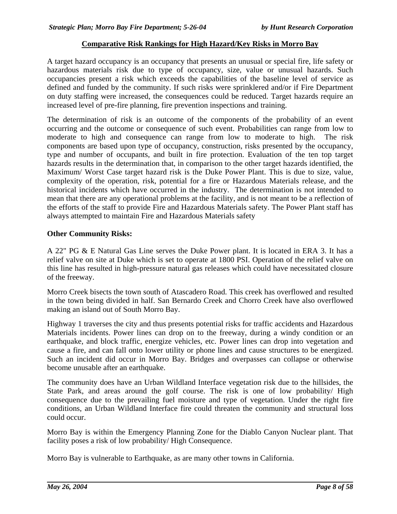### **Comparative Risk Rankings for High Hazard/Key Risks in Morro Bay**

A target hazard occupancy is an occupancy that presents an unusual or special fire, life safety or hazardous materials risk due to type of occupancy, size, value or unusual hazards. Such occupancies present a risk which exceeds the capabilities of the baseline level of service as defined and funded by the community. If such risks were sprinklered and/or if Fire Department on duty staffing were increased, the consequences could be reduced. Target hazards require an increased level of pre-fire planning, fire prevention inspections and training.

The determination of risk is an outcome of the components of the probability of an event occurring and the outcome or consequence of such event. Probabilities can range from low to moderate to high and consequence can range from low to moderate to high. The risk components are based upon type of occupancy, construction, risks presented by the occupancy, type and number of occupants, and built in fire protection. Evaluation of the ten top target hazards results in the determination that, in comparison to the other target hazards identified, the Maximum/ Worst Case target hazard risk is the Duke Power Plant. This is due to size, value, complexity of the operation, risk, potential for a fire or Hazardous Materials release, and the historical incidents which have occurred in the industry. The determination is not intended to mean that there are any operational problems at the facility, and is not meant to be a reflection of the efforts of the staff to provide Fire and Hazardous Materials safety. The Power Plant staff has always attempted to maintain Fire and Hazardous Materials safety

#### **Other Community Risks:**

A 22" PG & E Natural Gas Line serves the Duke Power plant. It is located in ERA 3. It has a relief valve on site at Duke which is set to operate at 1800 PSI. Operation of the relief valve on this line has resulted in high-pressure natural gas releases which could have necessitated closure of the freeway.

Morro Creek bisects the town south of Atascadero Road. This creek has overflowed and resulted in the town being divided in half. San Bernardo Creek and Chorro Creek have also overflowed making an island out of South Morro Bay.

Highway 1 traverses the city and thus presents potential risks for traffic accidents and Hazardous Materials incidents. Power lines can drop on to the freeway, during a windy condition or an earthquake, and block traffic, energize vehicles, etc. Power lines can drop into vegetation and cause a fire, and can fall onto lower utility or phone lines and cause structures to be energized. Such an incident did occur in Morro Bay. Bridges and overpasses can collapse or otherwise become unusable after an earthquake.

The community does have an Urban Wildland Interface vegetation risk due to the hillsides, the State Park, and areas around the golf course. The risk is one of low probability/ High consequence due to the prevailing fuel moisture and type of vegetation. Under the right fire conditions, an Urban Wildland Interface fire could threaten the community and structural loss could occur.

Morro Bay is within the Emergency Planning Zone for the Diablo Canyon Nuclear plant. That facility poses a risk of low probability/ High Consequence.

Morro Bay is vulnerable to Earthquake, as are many other towns in California.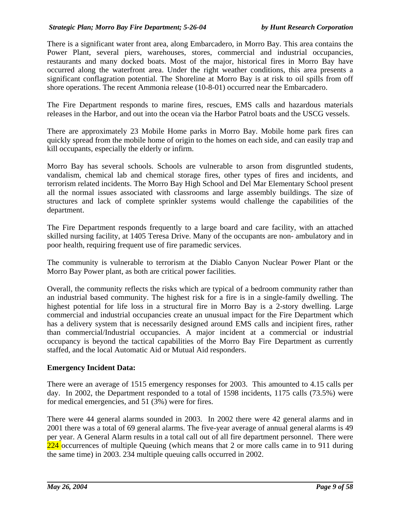There is a significant water front area, along Embarcadero, in Morro Bay. This area contains the Power Plant, several piers, warehouses, stores, commercial and industrial occupancies, restaurants and many docked boats. Most of the major, historical fires in Morro Bay have occurred along the waterfront area. Under the right weather conditions, this area presents a significant conflagration potential. The Shoreline at Morro Bay is at risk to oil spills from off shore operations. The recent Ammonia release (10-8-01) occurred near the Embarcadero.

The Fire Department responds to marine fires, rescues, EMS calls and hazardous materials releases in the Harbor, and out into the ocean via the Harbor Patrol boats and the USCG vessels.

There are approximately 23 Mobile Home parks in Morro Bay. Mobile home park fires can quickly spread from the mobile home of origin to the homes on each side, and can easily trap and kill occupants, especially the elderly or infirm.

Morro Bay has several schools. Schools are vulnerable to arson from disgruntled students, vandalism, chemical lab and chemical storage fires, other types of fires and incidents, and terrorism related incidents. The Morro Bay High School and Del Mar Elementary School present all the normal issues associated with classrooms and large assembly buildings. The size of structures and lack of complete sprinkler systems would challenge the capabilities of the department.

The Fire Department responds frequently to a large board and care facility, with an attached skilled nursing facility, at 1405 Teresa Drive. Many of the occupants are non- ambulatory and in poor health, requiring frequent use of fire paramedic services.

The community is vulnerable to terrorism at the Diablo Canyon Nuclear Power Plant or the Morro Bay Power plant, as both are critical power facilities.

Overall, the community reflects the risks which are typical of a bedroom community rather than an industrial based community. The highest risk for a fire is in a single-family dwelling. The highest potential for life loss in a structural fire in Morro Bay is a 2-story dwelling. Large commercial and industrial occupancies create an unusual impact for the Fire Department which has a delivery system that is necessarily designed around EMS calls and incipient fires, rather than commercial/Industrial occupancies. A major incident at a commercial or industrial occupancy is beyond the tactical capabilities of the Morro Bay Fire Department as currently staffed, and the local Automatic Aid or Mutual Aid responders.

# **Emergency Incident Data:**

There were an average of 1515 emergency responses for 2003. This amounted to 4.15 calls per day. In 2002, the Department responded to a total of 1598 incidents, 1175 calls (73.5%) were for medical emergencies, and 51 (3%) were for fires.

There were 44 general alarms sounded in 2003. In 2002 there were 42 general alarms and in 2001 there was a total of 69 general alarms. The five-year average of annual general alarms is 49 per year. A General Alarm results in a total call out of all fire department personnel. There were  $224$  occurrences of multiple Queuing (which means that 2 or more calls came in to 911 during the same time) in 2003. 234 multiple queuing calls occurred in 2002.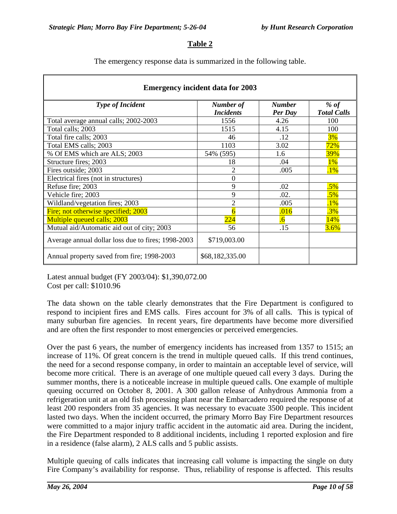### **Table 2**

The emergency response data is summarized in the following table.

| <b>Emergency incident data for 2003</b>            |                               |                          |                            |  |  |  |  |
|----------------------------------------------------|-------------------------------|--------------------------|----------------------------|--|--|--|--|
| <b>Type of Incident</b>                            | Number of<br><b>Incidents</b> | <b>Number</b><br>Per Day | % of<br><b>Total Calls</b> |  |  |  |  |
| Total average annual calls; 2002-2003              | 1556                          | 4.26                     | 100                        |  |  |  |  |
| Total calls; 2003                                  | 1515                          | 4.15                     | 100                        |  |  |  |  |
| Total fire calls; 2003                             | 46                            | .12                      | 3%                         |  |  |  |  |
| Total EMS calls; 2003                              | 1103                          | 3.02                     | 72%                        |  |  |  |  |
| % Of EMS which are ALS; 2003                       | 54% (595)                     | 1.6                      | 39%                        |  |  |  |  |
| Structure fires; 2003                              | 18                            | .04                      | 1%                         |  |  |  |  |
| Fires outside; 2003                                | $\overline{2}$                | .005                     | $.1\%$                     |  |  |  |  |
| Electrical fires (not in structures)               | $\Omega$                      |                          |                            |  |  |  |  |
| Refuse fire; 2003                                  | 9                             | .02                      | $.5\%$                     |  |  |  |  |
| Vehicle fire; 2003                                 | 9                             | .02.                     | $.5\%$                     |  |  |  |  |
| Wildland/vegetation fires; 2003                    | 2                             | .005                     | $.1\%$                     |  |  |  |  |
| Fire; not otherwise specified; 2003                | h                             | .016                     | .3%                        |  |  |  |  |
| <b>Multiple queued calls; 2003</b>                 | $\overline{224}$              | $\overline{0}$           | 14%                        |  |  |  |  |
| Mutual aid/Automatic aid out of city; 2003         | 56                            | .15                      | 3.6%                       |  |  |  |  |
| Average annual dollar loss due to fires; 1998-2003 | \$719,003.00                  |                          |                            |  |  |  |  |
| Annual property saved from fire; 1998-2003         | \$68,182,335.00               |                          |                            |  |  |  |  |

Latest annual budget (FY 2003/04): \$1,390,072.00 Cost per call: \$1010.96

The data shown on the table clearly demonstrates that the Fire Department is configured to respond to incipient fires and EMS calls. Fires account for 3% of all calls. This is typical of many suburban fire agencies. In recent years, fire departments have become more diversified and are often the first responder to most emergencies or perceived emergencies.

Over the past 6 years, the number of emergency incidents has increased from 1357 to 1515; an increase of 11%. Of great concern is the trend in multiple queued calls. If this trend continues, the need for a second response company, in order to maintain an acceptable level of service, will become more critical. There is an average of one multiple queued call every 3 days. During the summer months, there is a noticeable increase in multiple queued calls. One example of multiple queuing occurred on October 8, 2001. A 300 gallon release of Anhydrous Ammonia from a refrigeration unit at an old fish processing plant near the Embarcadero required the response of at least 200 responders from 35 agencies. It was necessary to evacuate 3500 people. This incident lasted two days. When the incident occurred, the primary Morro Bay Fire Department resources were committed to a major injury traffic accident in the automatic aid area. During the incident, the Fire Department responded to 8 additional incidents, including 1 reported explosion and fire in a residence (false alarm), 2 ALS calls and 5 public assists.

Multiple queuing of calls indicates that increasing call volume is impacting the single on duty Fire Company's availability for response. Thus, reliability of response is affected. This results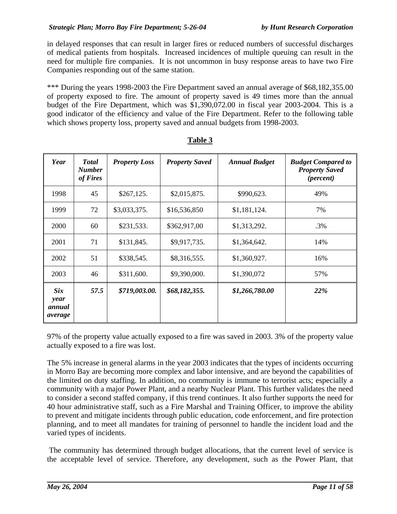in delayed responses that can result in larger fires or reduced numbers of successful discharges of medical patients from hospitals. Increased incidences of multiple queuing can result in the need for multiple fire companies. It is not uncommon in busy response areas to have two Fire Companies responding out of the same station.

\*\*\* During the years 1998-2003 the Fire Department saved an annual average of \$68,182,355,00 of property exposed to fire. The amount of property saved is 49 times more than the annual budget of the Fire Department, which was \$1,390,072.00 in fiscal year 2003-2004. This is a good indicator of the efficiency and value of the Fire Department. Refer to the following table which shows property loss, property saved and annual budgets from 1998-2003.

| Year                                    | <b>Total</b><br><b>Number</b><br>of Fires | <b>Property Loss</b> | <b>Property Saved</b> | <b>Annual Budget</b> | <b>Budget Compared to</b><br><b>Property Saved</b><br>( <i>percent</i> ) |
|-----------------------------------------|-------------------------------------------|----------------------|-----------------------|----------------------|--------------------------------------------------------------------------|
| 1998                                    | 45                                        | \$267,125.           | \$2,015,875.          | \$990,623.           | 49%                                                                      |
| 1999                                    | 72                                        | \$3,033,375.         | \$16,536,850          | \$1,181,124.         | 7%                                                                       |
| 2000                                    | 60                                        | \$231,533.           | \$362,917,00          | \$1,313,292.         | .3%                                                                      |
| 2001                                    | 71                                        | \$131,845.           | \$9,917,735.          | \$1,364,642.         | 14%                                                                      |
| 2002                                    | 51                                        | \$338,545.           | \$8,316,555.          | \$1,360,927.         | 16%                                                                      |
| 2003                                    | 46                                        | \$311,600.           | \$9,390,000.          | \$1,390,072          | 57%                                                                      |
| <b>Six</b><br>year<br>annual<br>average | 57.5                                      | \$719,003.00.        | \$68,182,355.         | \$1,266,780.00       | 22%                                                                      |

#### **Table 3**

97% of the property value actually exposed to a fire was saved in 2003. 3% of the property value actually exposed to a fire was lost.

The 5% increase in general alarms in the year 2003 indicates that the types of incidents occurring in Morro Bay are becoming more complex and labor intensive, and are beyond the capabilities of the limited on duty staffing. In addition, no community is immune to terrorist acts; especially a community with a major Power Plant, and a nearby Nuclear Plant. This further validates the need to consider a second staffed company, if this trend continues. It also further supports the need for 40 hour administrative staff, such as a Fire Marshal and Training Officer, to improve the ability to prevent and mitigate incidents through public education, code enforcement, and fire protection planning, and to meet all mandates for training of personnel to handle the incident load and the varied types of incidents.

The community has determined through budget allocations, that the current level of service is the acceptable level of service. Therefore, any development, such as the Power Plant, that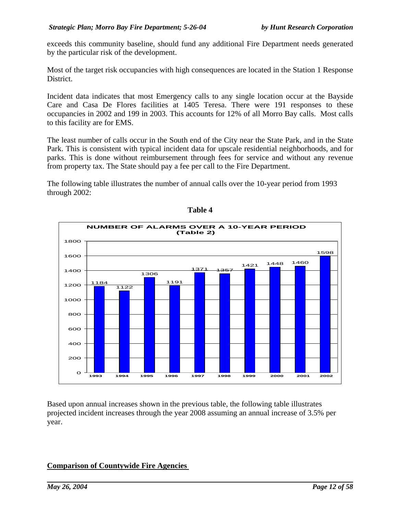exceeds this community baseline, should fund any additional Fire Department needs generated by the particular risk of the development.

Most of the target risk occupancies with high consequences are located in the Station 1 Response District.

Incident data indicates that most Emergency calls to any single location occur at the Bayside Care and Casa De Flores facilities at 1405 Teresa. There were 191 responses to these occupancies in 2002 and 199 in 2003. This accounts for 12% of all Morro Bay calls. Most calls to this facility are for EMS.

The least number of calls occur in the South end of the City near the State Park, and in the State Park. This is consistent with typical incident data for upscale residential neighborhoods, and for parks. This is done without reimbursement through fees for service and without any revenue from property tax. The State should pay a fee per call to the Fire Department.

The following table illustrates the number of annual calls over the 10-year period from 1993 through 2002:



**Table 4**

Based upon annual increases shown in the previous table, the following table illustrates projected incident increases through the year 2008 assuming an annual increase of 3.5% per year.

# **Comparison of Countywide Fire Agencies**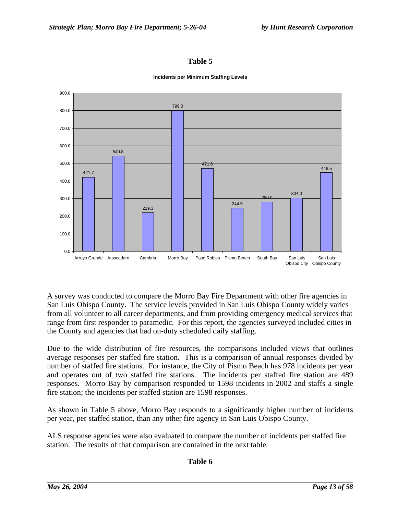### **Table 5**



#### **Incidents per Minimum Staffing Levels**

A survey was conducted to compare the Morro Bay Fire Department with other fire agencies in San Luis Obispo County. The service levels provided in San Luis Obispo County widely varies from all volunteer to all career departments, and from providing emergency medical services that range from first responder to paramedic. For this report, the agencies surveyed included cities in the County and agencies that had on-duty scheduled daily staffing.

Due to the wide distribution of fire resources, the comparisons included views that outlines average responses per staffed fire station. This is a comparison of annual responses divided by number of staffed fire stations. For instance, the City of Pismo Beach has 978 incidents per year and operates out of two staffed fire stations. The incidents per staffed fire station are 489 responses. Morro Bay by comparison responded to 1598 incidents in 2002 and staffs a single fire station; the incidents per staffed station are 1598 responses.

As shown in Table 5 above, Morro Bay responds to a significantly higher number of incidents per year, per staffed station, than any other fire agency in San Luis Obispo County.

ALS response agencies were also evaluated to compare the number of incidents per staffed fire station. The results of that comparison are contained in the next table.

#### **Table 6**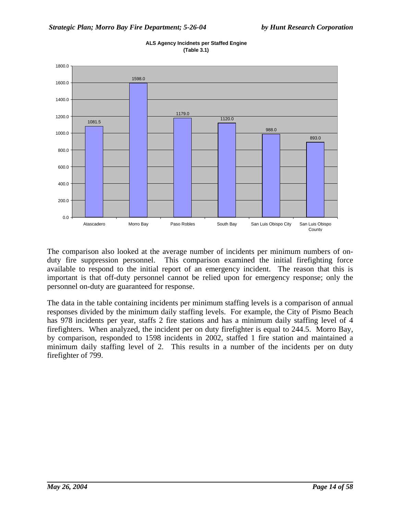

**ALS Agency Incidnets per Staffed Engine (Table 3.1)**

The comparison also looked at the average number of incidents per minimum numbers of onduty fire suppression personnel. This comparison examined the initial firefighting force available to respond to the initial report of an emergency incident. The reason that this is important is that off-duty personnel cannot be relied upon for emergency response; only the personnel on-duty are guaranteed for response.

The data in the table containing incidents per minimum staffing levels is a comparison of annual responses divided by the minimum daily staffing levels. For example, the City of Pismo Beach has 978 incidents per year, staffs 2 fire stations and has a minimum daily staffing level of 4 firefighters. When analyzed, the incident per on duty firefighter is equal to 244.5. Morro Bay, by comparison, responded to 1598 incidents in 2002, staffed 1 fire station and maintained a minimum daily staffing level of 2. This results in a number of the incidents per on duty firefighter of 799.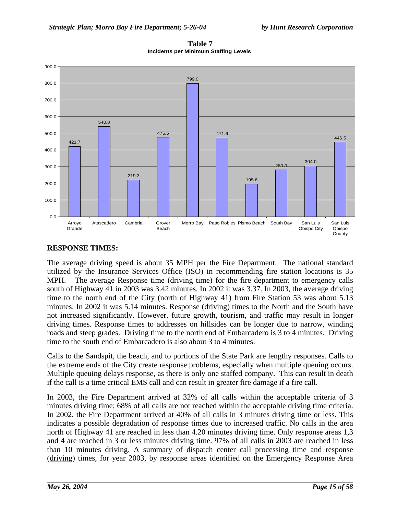

**Table 7 Incidents per Minimum Staffing Levels**

# **RESPONSE TIMES:**

The average driving speed is about 35 MPH per the Fire Department. The national standard utilized by the Insurance Services Office (ISO) in recommending fire station locations is 35 MPH. The average Response time (driving time) for the fire department to emergency calls south of Highway 41 in 2003 was 3.42 minutes. In 2002 it was 3.37. In 2003, the average driving time to the north end of the City (north of Highway 41) from Fire Station 53 was about 5.13 minutes. In 2002 it was 5.14 minutes. Response (driving) times to the North and the South have not increased significantly. However, future growth, tourism, and traffic may result in longer driving times. Response times to addresses on hillsides can be longer due to narrow, winding roads and steep grades. Driving time to the north end of Embarcadero is 3 to 4 minutes. Driving time to the south end of Embarcadero is also about 3 to 4 minutes.

Calls to the Sandspit, the beach, and to portions of the State Park are lengthy responses. Calls to the extreme ends of the City create response problems, especially when multiple queuing occurs. Multiple queuing delays response, as there is only one staffed company. This can result in death if the call is a time critical EMS call and can result in greater fire damage if a fire call.

In 2003, the Fire Department arrived at 32% of all calls within the acceptable criteria of 3 minutes driving time; 68% of all calls are not reached within the acceptable driving time criteria. In 2002, the Fire Department arrived at 40% of all calls in 3 minutes driving time or less. This indicates a possible degradation of response times due to increased traffic. No calls in the area north of Highway 41 are reached in less than 4.20 minutes driving time. Only response areas 1,3 and 4 are reached in 3 or less minutes driving time. 97% of all calls in 2003 are reached in less than 10 minutes driving. A summary of dispatch center call processing time and response (driving) times, for year 2003, by response areas identified on the Emergency Response Area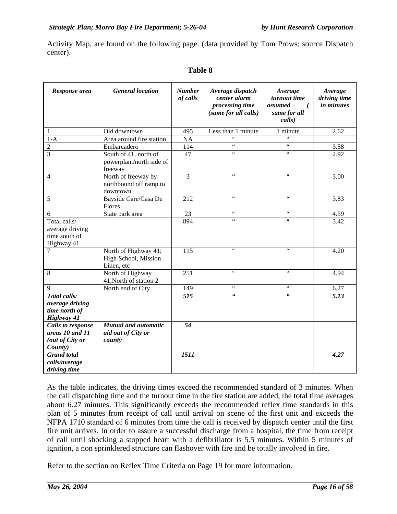Activity Map, are found on the following page. (data provided by Tom Prows; source Dispatch center).

| Response area                                                             | <b>General location</b>                                      | <b>Number</b><br>of calls | Average dispatch<br>center alarm<br>processing time<br>(same for all calls) | Average<br>turnout time<br>assumed<br>(<br>same for all<br>calls) | Average<br>driving time<br><i>in minutes</i> |
|---------------------------------------------------------------------------|--------------------------------------------------------------|---------------------------|-----------------------------------------------------------------------------|-------------------------------------------------------------------|----------------------------------------------|
| 1                                                                         | Old downtown                                                 | 495                       | Less than 1 minute                                                          | 1 minute                                                          | $\overline{2.62}$                            |
| $1-A$                                                                     | Area around fire station                                     | NA                        | $\epsilon$                                                                  | $\epsilon$ $\epsilon$                                             |                                              |
| $\overline{c}$                                                            | Embarcadero                                                  | 114                       | $\zeta$ $\zeta$                                                             | $\zeta\,\zeta$                                                    | 3.58                                         |
| $\overline{3}$                                                            | South of 41, north of<br>powerplant/north side of<br>freeway | 47                        | $\zeta\,\zeta$                                                              | $\zeta\,\zeta$                                                    | 2.92                                         |
| $\overline{4}$                                                            | North of freeway by<br>northbound off ramp to<br>downtown    | $\overline{3}$            | $\zeta\,\zeta$                                                              | $\zeta$ $\zeta$                                                   | 3.00                                         |
| 5                                                                         | Bayside Care/Casa De<br>Flores                               | $\overline{212}$          | 66                                                                          | 66                                                                | 3.83                                         |
| 6                                                                         | State park area                                              | 23                        | $\zeta\,\zeta$                                                              | $\zeta\,\zeta$                                                    | 4.59                                         |
| Total calls/<br>average driving<br>time south of<br>Highway 41            |                                                              | 894                       | $\epsilon\epsilon$                                                          | $\epsilon$                                                        | 3.42                                         |
| 7                                                                         | North of Highway 41;<br>High School, Mission<br>Linen, etc   | 115                       | $\zeta$ $\zeta$                                                             | $\zeta\,\zeta$                                                    | 4.20                                         |
| 8                                                                         | North of Highway<br>41; North of station 2                   | 251                       | $\zeta\,\zeta$                                                              | $\zeta\,\zeta$                                                    | 4.94                                         |
| 9                                                                         | North end of City                                            | 149                       | $\epsilon$                                                                  | 66                                                                | 6.27                                         |
| Total calls/<br>average driving<br>time north of<br>Highway 41            |                                                              | $\overline{515}$          | $\epsilon$                                                                  | $\epsilon$                                                        | $\overline{5.13}$                            |
| <b>Calls to response</b><br>areas 10 and 11<br>(out of City or<br>County) | <b>Mutual and automatic</b><br>aid out of City or<br>county  | 54                        |                                                                             |                                                                   |                                              |
| <b>Grand</b> total<br>calls/average<br>driving time                       |                                                              | 1511                      |                                                                             |                                                                   | 4.27                                         |

# **Table 8**

As the table indicates, the driving times exceed the recommended standard of 3 minutes. When the call dispatching time and the turnout time in the fire station are added, the total time averages about 6.27 minutes. This significantly exceeds the recommended reflex time standards in this plan of 5 minutes from receipt of call until arrival on scene of the first unit and exceeds the NFPA 1710 standard of 6 minutes from time the call is received by dispatch center until the first fire unit arrives. In order to assure a successful discharge from a hospital, the time from receipt of call until shocking a stopped heart with a defibrillator is 5.5 minutes. Within 5 minutes of ignition, a non sprinklered structure can flashover with fire and be totally involved in fire.

Refer to the section on Reflex Time Criteria on Page 19 for more information.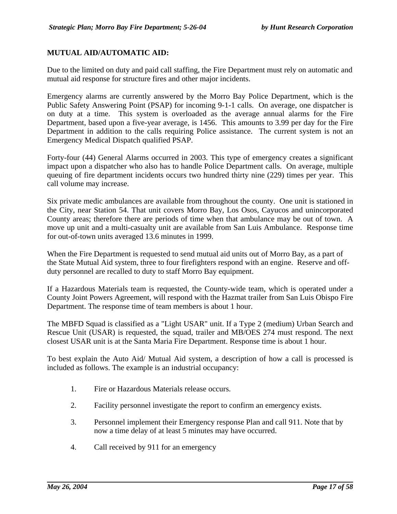### **MUTUAL AID/AUTOMATIC AID:**

Due to the limited on duty and paid call staffing, the Fire Department must rely on automatic and mutual aid response for structure fires and other major incidents.

Emergency alarms are currently answered by the Morro Bay Police Department, which is the Public Safety Answering Point (PSAP) for incoming 9-1-1 calls. On average, one dispatcher is on duty at a time. This system is overloaded as the average annual alarms for the Fire Department, based upon a five-year average, is 1456. This amounts to 3.99 per day for the Fire Department in addition to the calls requiring Police assistance. The current system is not an Emergency Medical Dispatch qualified PSAP.

Forty-four (44) General Alarms occurred in 2003. This type of emergency creates a significant impact upon a dispatcher who also has to handle Police Department calls. On average, multiple queuing of fire department incidents occurs two hundred thirty nine (229) times per year. This call volume may increase.

Six private medic ambulances are available from throughout the county. One unit is stationed in the City, near Station 54. That unit covers Morro Bay, Los Osos, Cayucos and unincorporated County areas; therefore there are periods of time when that ambulance may be out of town. A move up unit and a multi-casualty unit are available from San Luis Ambulance. Response time for out-of-town units averaged 13.6 minutes in 1999.

When the Fire Department is requested to send mutual aid units out of Morro Bay, as a part of the State Mutual Aid system, three to four firefighters respond with an engine. Reserve and offduty personnel are recalled to duty to staff Morro Bay equipment.

If a Hazardous Materials team is requested, the County-wide team, which is operated under a County Joint Powers Agreement, will respond with the Hazmat trailer from San Luis Obispo Fire Department. The response time of team members is about 1 hour.

The MBFD Squad is classified as a "Light USAR" unit. If a Type 2 (medium) Urban Search and Rescue Unit (USAR) is requested, the squad, trailer and MB/OES 274 must respond. The next closest USAR unit is at the Santa Maria Fire Department. Response time is about 1 hour.

To best explain the Auto Aid/ Mutual Aid system, a description of how a call is processed is included as follows. The example is an industrial occupancy:

- 1. Fire or Hazardous Materials release occurs.
- 2. Facility personnel investigate the report to confirm an emergency exists.
- 3. Personnel implement their Emergency response Plan and call 911. Note that by now a time delay of at least 5 minutes may have occurred.
- 4. Call received by 911 for an emergency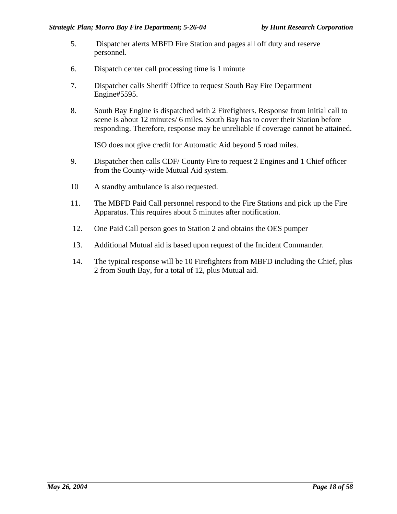- 5. Dispatcher alerts MBFD Fire Station and pages all off duty and reserve personnel.
- 6. Dispatch center call processing time is 1 minute
- 7. Dispatcher calls Sheriff Office to request South Bay Fire Department Engine#5595.
- 8. South Bay Engine is dispatched with 2 Firefighters. Response from initial call to scene is about 12 minutes/ 6 miles. South Bay has to cover their Station before responding. Therefore, response may be unreliable if coverage cannot be attained.

ISO does not give credit for Automatic Aid beyond 5 road miles.

- 9. Dispatcher then calls CDF/ County Fire to request 2 Engines and 1 Chief officer from the County-wide Mutual Aid system.
- 10 A standby ambulance is also requested.
- 11. The MBFD Paid Call personnel respond to the Fire Stations and pick up the Fire Apparatus. This requires about 5 minutes after notification.
- 12. One Paid Call person goes to Station 2 and obtains the OES pumper
- 13. Additional Mutual aid is based upon request of the Incident Commander.
- 14. The typical response will be 10 Firefighters from MBFD including the Chief, plus 2 from South Bay, for a total of 12, plus Mutual aid.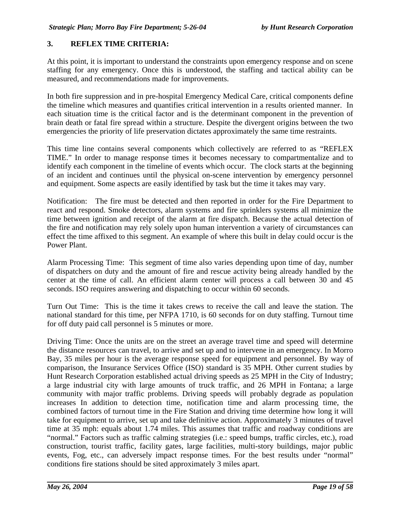### **3. REFLEX TIME CRITERIA:**

At this point, it is important to understand the constraints upon emergency response and on scene staffing for any emergency. Once this is understood, the staffing and tactical ability can be measured, and recommendations made for improvements.

In both fire suppression and in pre-hospital Emergency Medical Care, critical components define the timeline which measures and quantifies critical intervention in a results oriented manner. In each situation time is the critical factor and is the determinant component in the prevention of brain death or fatal fire spread within a structure. Despite the divergent origins between the two emergencies the priority of life preservation dictates approximately the same time restraints.

This time line contains several components which collectively are referred to as "REFLEX TIME." In order to manage response times it becomes necessary to compartmentalize and to identify each component in the timeline of events which occur. The clock starts at the beginning of an incident and continues until the physical on-scene intervention by emergency personnel and equipment. Some aspects are easily identified by task but the time it takes may vary.

Notification: The fire must be detected and then reported in order for the Fire Department to react and respond. Smoke detectors, alarm systems and fire sprinklers systems all minimize the time between ignition and receipt of the alarm at fire dispatch. Because the actual detection of the fire and notification may rely solely upon human intervention a variety of circumstances can effect the time affixed to this segment. An example of where this built in delay could occur is the Power Plant.

Alarm Processing Time: This segment of time also varies depending upon time of day, number of dispatchers on duty and the amount of fire and rescue activity being already handled by the center at the time of call. An efficient alarm center will process a call between 30 and 45 seconds. ISO requires answering and dispatching to occur within 60 seconds.

Turn Out Time: This is the time it takes crews to receive the call and leave the station. The national standard for this time, per NFPA 1710, is 60 seconds for on duty staffing. Turnout time for off duty paid call personnel is 5 minutes or more.

Driving Time: Once the units are on the street an average travel time and speed will determine the distance resources can travel, to arrive and set up and to intervene in an emergency. In Morro Bay, 35 miles per hour is the average response speed for equipment and personnel. By way of comparison, the Insurance Services Office (ISO) standard is 35 MPH. Other current studies by Hunt Research Corporation established actual driving speeds as 25 MPH in the City of Industry; a large industrial city with large amounts of truck traffic, and 26 MPH in Fontana; a large community with major traffic problems. Driving speeds will probably degrade as population increases In addition to detection time, notification time and alarm processing time, the combined factors of turnout time in the Fire Station and driving time determine how long it will take for equipment to arrive, set up and take definitive action. Approximately 3 minutes of travel time at 35 mph: equals about 1.74 miles. This assumes that traffic and roadway conditions are "normal." Factors such as traffic calming strategies (i.e.: speed bumps, traffic circles, etc.), road construction, tourist traffic, facility gates, large facilities, multi-story buildings, major public events, Fog, etc., can adversely impact response times. For the best results under "normal" conditions fire stations should be sited approximately 3 miles apart.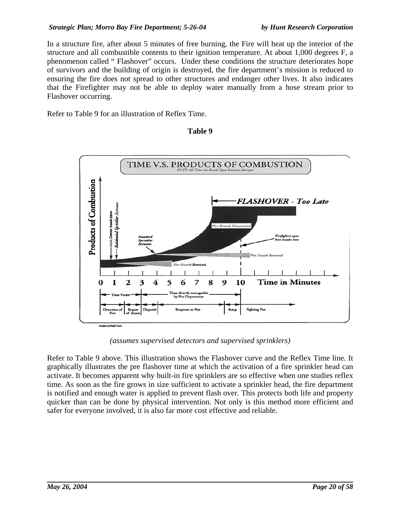In a structure fire, after about 5 minutes of free burning, the Fire will heat up the interior of the structure and all combustible contents to their ignition temperature. At about 1,000 degrees F, a phenomenon called " Flashover" occurs. Under these conditions the structure deteriorates hope of survivors and the building of origin is destroyed, the fire department's mission is reduced to ensuring the fire does not spread to other structures and endanger other lives. It also indicates that the Firefighter may not be able to deploy water manually from a hose stream prior to Flashover occurring.

Refer to Table 9 for an illustration of Reflex Time.

## **Table 9**



*(assumes supervised detectors and supervised sprinklers)*

Refer to Table 9 above. This illustration shows the Flashover curve and the Reflex Time line. It graphically illustrates the pre flashover time at which the activation of a fire sprinkler head can activate. It becomes apparent why built-in fire sprinklers are so effective when one studies reflex time. As soon as the fire grows in size sufficient to activate a sprinkler head, the fire department is notified and enough water is applied to prevent flash over. This protects both life and property quicker than can be done by physical intervention. Not only is this method more efficient and safer for everyone involved, it is also far more cost effective and reliable.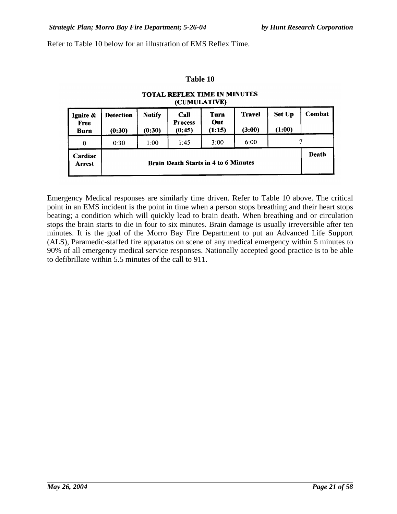Refer to Table 10 below for an illustration of EMS Reflex Time.

#### **Table 10**

#### **TOTAL REFLEX TIME IN MINUTES** (CUMULATIVE)

| Ignite &<br>Free<br><b>Burn</b> | <b>Detection</b><br>(0:30)                  | <b>Notify</b><br>(0:30) | Call<br><b>Process</b><br>(0:45) | Turn<br>Out<br>(1:15) | <b>Travel</b><br>(3:00) | <b>Set Up</b><br>(1:00) | Combat |
|---------------------------------|---------------------------------------------|-------------------------|----------------------------------|-----------------------|-------------------------|-------------------------|--------|
| 0                               | 0:30                                        | 1:00                    | 1:45                             | 3:00                  | 6:00                    |                         |        |
| Cardiac<br>Arrest               | <b>Brain Death Starts in 4 to 6 Minutes</b> |                         |                                  |                       |                         |                         |        |

Emergency Medical responses are similarly time driven. Refer to Table 10 above. The critical point in an EMS incident is the point in time when a person stops breathing and their heart stops beating; a condition which will quickly lead to brain death. When breathing and or circulation stops the brain starts to die in four to six minutes. Brain damage is usually irreversible after ten minutes. It is the goal of the Morro Bay Fire Department to put an Advanced Life Support (ALS), Paramedic-staffed fire apparatus on scene of any medical emergency within 5 minutes to 90% of all emergency medical service responses. Nationally accepted good practice is to be able to defibrillate within 5.5 minutes of the call to 911.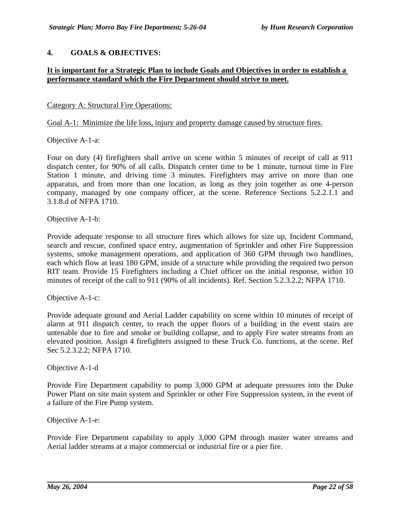### **4. GOALS & OBJECTIVES:**

### **It is important for a Strategic Plan to include Goals and Objectives in order to establish a performance standard which the Fire Department should strive to meet.**

#### Category A: Structural Fire Operations:

Goal A-1: Minimize the life loss, injury and property damage caused by structure fires.

Objective A-1-a:

Four on duty (4) firefighters shall arrive on scene within 5 minutes of receipt of call at 911 dispatch center, for 90% of all calls. Dispatch center time to be 1 minute, turnout time in Fire Station 1 minute, and driving time 3 minutes. Firefighters may arrive on more than one apparatus, and from more than one location, as long as they join together as one 4-person company, managed by one company officer, at the scene. Reference Sections 5.2.2.1.1 and 3.1.8.d of NFPA 1710.

Objective A-1-b:

Provide adequate response to all structure fires which allows for size up, Incident Command, search and rescue, confined space entry, augmentation of Sprinkler and other Fire Suppression systems, smoke management operations, and application of 360 GPM through two handlines, each which flow at least 180 GPM, inside of a structure while providing the required two person RIT team. Provide 15 Firefighters including a Chief officer on the initial response, within 10 minutes of receipt of the call to 911 (90% of all incidents). Ref. Section 5.2.3.2.2; NFPA 1710.

Objective A-1-c:

Provide adequate ground and Aerial Ladder capability on scene within 10 minutes of receipt of alarm at 911 dispatch center, to reach the upper floors of a building in the event stairs are untenable due to fire and smoke or building collapse, and to apply Fire water streams from an elevated position. Assign 4 firefighters assigned to these Truck Co. functions, at the scene. Ref Sec 5.2.3.2.2; NFPA 1710.

Objective A-1-d

Provide Fire Department capability to pump 3,000 GPM at adequate pressures into the Duke Power Plant on site main system and Sprinkler or other Fire Suppression system, in the event of a failure of the Fire Pump system.

Objective A-1-e:

Provide Fire Department capability to apply 3,000 GPM through master water streams and Aerial ladder streams at a major commercial or industrial fire or a pier fire.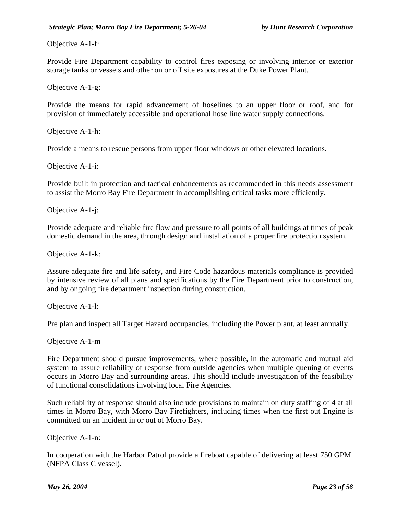Objective A-1-f:

Provide Fire Department capability to control fires exposing or involving interior or exterior storage tanks or vessels and other on or off site exposures at the Duke Power Plant.

Objective A-1-g:

Provide the means for rapid advancement of hoselines to an upper floor or roof, and for provision of immediately accessible and operational hose line water supply connections.

Objective A-1-h:

Provide a means to rescue persons from upper floor windows or other elevated locations.

Objective A-1-i:

Provide built in protection and tactical enhancements as recommended in this needs assessment to assist the Morro Bay Fire Department in accomplishing critical tasks more efficiently.

Objective A-1-j:

Provide adequate and reliable fire flow and pressure to all points of all buildings at times of peak domestic demand in the area, through design and installation of a proper fire protection system.

Objective A-1-k:

Assure adequate fire and life safety, and Fire Code hazardous materials compliance is provided by intensive review of all plans and specifications by the Fire Department prior to construction, and by ongoing fire department inspection during construction.

Objective A-1-l:

Pre plan and inspect all Target Hazard occupancies, including the Power plant, at least annually.

Objective A-1-m

Fire Department should pursue improvements, where possible, in the automatic and mutual aid system to assure reliability of response from outside agencies when multiple queuing of events occurs in Morro Bay and surrounding areas. This should include investigation of the feasibility of functional consolidations involving local Fire Agencies.

Such reliability of response should also include provisions to maintain on duty staffing of 4 at all times in Morro Bay, with Morro Bay Firefighters, including times when the first out Engine is committed on an incident in or out of Morro Bay.

Objective A-1-n:

In cooperation with the Harbor Patrol provide a fireboat capable of delivering at least 750 GPM. (NFPA Class C vessel).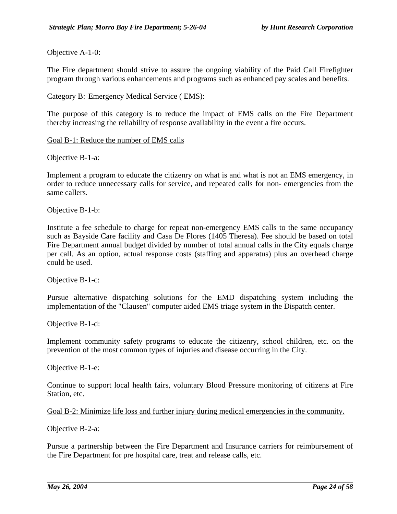#### Objective A-1-0:

The Fire department should strive to assure the ongoing viability of the Paid Call Firefighter program through various enhancements and programs such as enhanced pay scales and benefits.

#### Category B: Emergency Medical Service ( EMS):

The purpose of this category is to reduce the impact of EMS calls on the Fire Department thereby increasing the reliability of response availability in the event a fire occurs.

#### Goal B-1: Reduce the number of EMS calls

Objective B-1-a:

Implement a program to educate the citizenry on what is and what is not an EMS emergency, in order to reduce unnecessary calls for service, and repeated calls for non- emergencies from the same callers.

Objective B-1-b:

Institute a fee schedule to charge for repeat non-emergency EMS calls to the same occupancy such as Bayside Care facility and Casa De Flores (1405 Theresa). Fee should be based on total Fire Department annual budget divided by number of total annual calls in the City equals charge per call. As an option, actual response costs (staffing and apparatus) plus an overhead charge could be used.

Objective B-1-c:

Pursue alternative dispatching solutions for the EMD dispatching system including the implementation of the "Clausen" computer aided EMS triage system in the Dispatch center.

Objective B-1-d:

Implement community safety programs to educate the citizenry, school children, etc. on the prevention of the most common types of injuries and disease occurring in the City.

Objective B-1-e:

Continue to support local health fairs, voluntary Blood Pressure monitoring of citizens at Fire Station, etc.

```
Goal B-2: Minimize life loss and further injury during medical emergencies in the community.
```
Objective B-2-a:

Pursue a partnership between the Fire Department and Insurance carriers for reimbursement of the Fire Department for pre hospital care, treat and release calls, etc.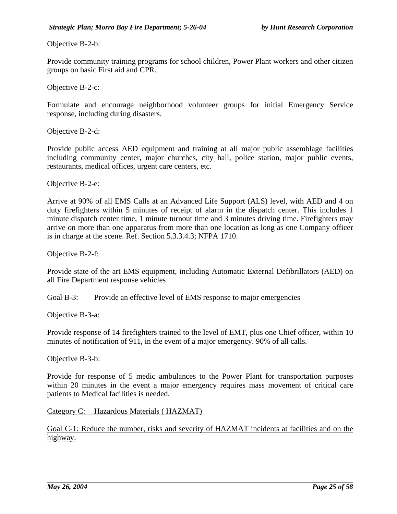Objective B-2-b:

Provide community training programs for school children, Power Plant workers and other citizen groups on basic First aid and CPR.

Objective B-2-c:

Formulate and encourage neighborhood volunteer groups for initial Emergency Service response, including during disasters.

Objective B-2-d:

Provide public access AED equipment and training at all major public assemblage facilities including community center, major churches, city hall, police station, major public events, restaurants, medical offices, urgent care centers, etc.

Objective B-2-e:

Arrive at 90% of all EMS Calls at an Advanced Life Support (ALS) level, with AED and 4 on duty firefighters within 5 minutes of receipt of alarm in the dispatch center. This includes 1 minute dispatch center time, 1 minute turnout time and 3 minutes driving time. Firefighters may arrive on more than one apparatus from more than one location as long as one Company officer is in charge at the scene. Ref. Section 5.3.3.4.3; NFPA 1710.

Objective B-2-f:

Provide state of the art EMS equipment, including Automatic External Defibrillators (AED) on all Fire Department response vehicles

Goal B-3: Provide an effective level of EMS response to major emergencies

Objective B-3-a:

Provide response of 14 firefighters trained to the level of EMT, plus one Chief officer, within 10 minutes of notification of 911, in the event of a major emergency. 90% of all calls.

Objective B-3-b:

Provide for response of 5 medic ambulances to the Power Plant for transportation purposes within 20 minutes in the event a major emergency requires mass movement of critical care patients to Medical facilities is needed.

Category C: Hazardous Materials ( HAZMAT)

Goal C-1: Reduce the number, risks and severity of HAZMAT incidents at facilities and on the highway.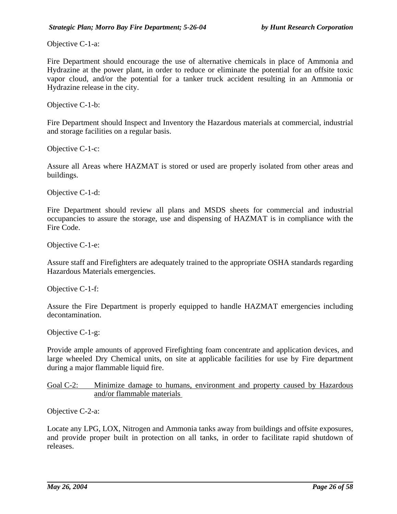Objective C-1-a:

Fire Department should encourage the use of alternative chemicals in place of Ammonia and Hydrazine at the power plant, in order to reduce or eliminate the potential for an offsite toxic vapor cloud, and/or the potential for a tanker truck accident resulting in an Ammonia or Hydrazine release in the city.

Objective C-1-b:

Fire Department should Inspect and Inventory the Hazardous materials at commercial, industrial and storage facilities on a regular basis.

Objective C-1-c:

Assure all Areas where HAZMAT is stored or used are properly isolated from other areas and buildings.

Objective C-1-d:

Fire Department should review all plans and MSDS sheets for commercial and industrial occupancies to assure the storage, use and dispensing of HAZMAT is in compliance with the Fire Code.

Objective C-1-e:

Assure staff and Firefighters are adequately trained to the appropriate OSHA standards regarding Hazardous Materials emergencies.

Objective C-1-f:

Assure the Fire Department is properly equipped to handle HAZMAT emergencies including decontamination.

Objective C-1-g:

Provide ample amounts of approved Firefighting foam concentrate and application devices, and large wheeled Dry Chemical units, on site at applicable facilities for use by Fire department during a major flammable liquid fire.

Goal C-2: Minimize damage to humans, environment and property caused by Hazardous and/or flammable materials

Objective C-2-a:

Locate any LPG, LOX, Nitrogen and Ammonia tanks away from buildings and offsite exposures, and provide proper built in protection on all tanks, in order to facilitate rapid shutdown of releases.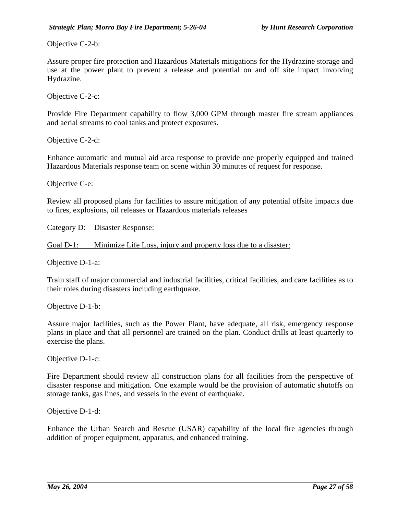Objective C-2-b:

Assure proper fire protection and Hazardous Materials mitigations for the Hydrazine storage and use at the power plant to prevent a release and potential on and off site impact involving Hydrazine.

Objective C-2-c:

Provide Fire Department capability to flow 3,000 GPM through master fire stream appliances and aerial streams to cool tanks and protect exposures.

Objective C-2-d:

Enhance automatic and mutual aid area response to provide one properly equipped and trained Hazardous Materials response team on scene within 30 minutes of request for response.

Objective C-e:

Review all proposed plans for facilities to assure mitigation of any potential offsite impacts due to fires, explosions, oil releases or Hazardous materials releases

Category D: Disaster Response:

Goal D-1: Minimize Life Loss, injury and property loss due to a disaster:

Objective D-1-a:

Train staff of major commercial and industrial facilities, critical facilities, and care facilities as to their roles during disasters including earthquake.

Objective D-1-b:

Assure major facilities, such as the Power Plant, have adequate, all risk, emergency response plans in place and that all personnel are trained on the plan. Conduct drills at least quarterly to exercise the plans.

Objective D-1-c:

Fire Department should review all construction plans for all facilities from the perspective of disaster response and mitigation. One example would be the provision of automatic shutoffs on storage tanks, gas lines, and vessels in the event of earthquake.

Objective D-1-d:

Enhance the Urban Search and Rescue (USAR) capability of the local fire agencies through addition of proper equipment, apparatus, and enhanced training.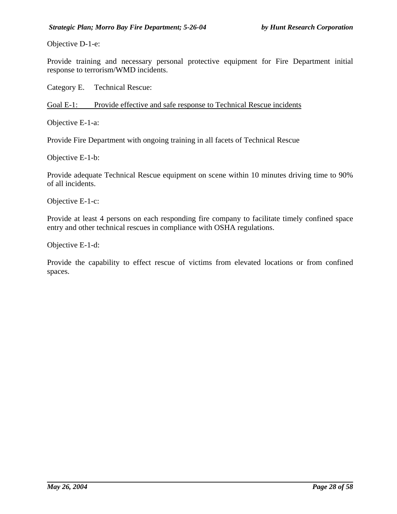Objective D-1-e:

Provide training and necessary personal protective equipment for Fire Department initial response to terrorism/WMD incidents.

Category E. Technical Rescue:

Goal E-1: Provide effective and safe response to Technical Rescue incidents

Objective E-1-a:

Provide Fire Department with ongoing training in all facets of Technical Rescue

Objective E-1-b:

Provide adequate Technical Rescue equipment on scene within 10 minutes driving time to 90% of all incidents.

Objective E-1-c:

Provide at least 4 persons on each responding fire company to facilitate timely confined space entry and other technical rescues in compliance with OSHA regulations.

Objective E-1-d:

Provide the capability to effect rescue of victims from elevated locations or from confined spaces.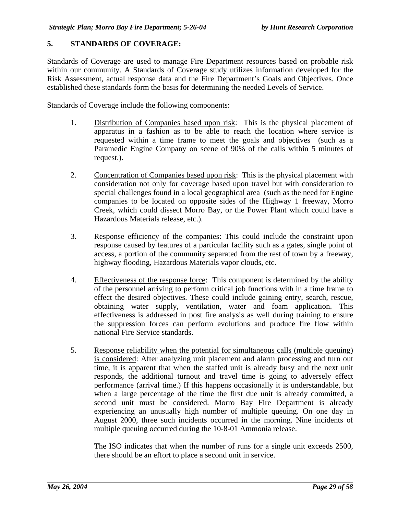#### **5. STANDARDS OF COVERAGE:**

Standards of Coverage are used to manage Fire Department resources based on probable risk within our community. A Standards of Coverage study utilizes information developed for the Risk Assessment, actual response data and the Fire Department's Goals and Objectives. Once established these standards form the basis for determining the needed Levels of Service.

Standards of Coverage include the following components:

- 1. Distribution of Companies based upon risk: This is the physical placement of apparatus in a fashion as to be able to reach the location where service is requested within a time frame to meet the goals and objectives (such as a Paramedic Engine Company on scene of 90% of the calls within 5 minutes of request.).
- 2. Concentration of Companies based upon risk: This is the physical placement with consideration not only for coverage based upon travel but with consideration to special challenges found in a local geographical area (such as the need for Engine companies to be located on opposite sides of the Highway 1 freeway, Morro Creek, which could dissect Morro Bay, or the Power Plant which could have a Hazardous Materials release, etc.).
- 3. Response efficiency of the companies: This could include the constraint upon response caused by features of a particular facility such as a gates, single point of access, a portion of the community separated from the rest of town by a freeway, highway flooding, Hazardous Materials vapor clouds, etc.
- 4. Effectiveness of the response force: This component is determined by the ability of the personnel arriving to perform critical job functions with in a time frame to effect the desired objectives. These could include gaining entry, search, rescue, obtaining water supply, ventilation, water and foam application. This effectiveness is addressed in post fire analysis as well during training to ensure the suppression forces can perform evolutions and produce fire flow within national Fire Service standards.
- 5. Response reliability when the potential for simultaneous calls (multiple queuing) is considered: After analyzing unit placement and alarm processing and turn out time, it is apparent that when the staffed unit is already busy and the next unit responds, the additional turnout and travel time is going to adversely effect performance (arrival time.) If this happens occasionally it is understandable, but when a large percentage of the time the first due unit is already committed, a second unit must be considered. Morro Bay Fire Department is already experiencing an unusually high number of multiple queuing. On one day in August 2000, three such incidents occurred in the morning. Nine incidents of multiple queuing occurred during the 10-8-01 Ammonia release.

The ISO indicates that when the number of runs for a single unit exceeds 2500, there should be an effort to place a second unit in service.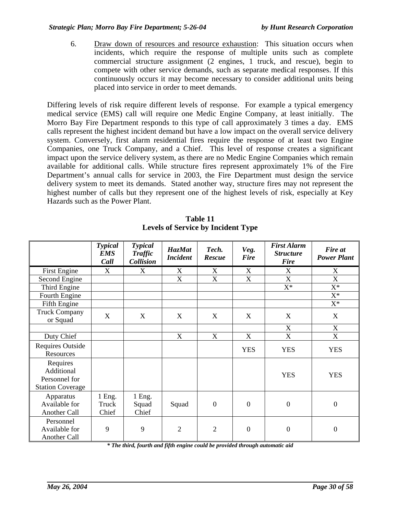6. Draw down of resources and resource exhaustion: This situation occurs when incidents, which require the response of multiple units such as complete commercial structure assignment (2 engines, 1 truck, and rescue), begin to compete with other service demands, such as separate medical responses. If this continuously occurs it may become necessary to consider additional units being placed into service in order to meet demands.

Differing levels of risk require different levels of response. For example a typical emergency medical service (EMS) call will require one Medic Engine Company, at least initially. The Morro Bay Fire Department responds to this type of call approximately 3 times a day. EMS calls represent the highest incident demand but have a low impact on the overall service delivery system. Conversely, first alarm residential fires require the response of at least two Engine Companies, one Truck Company, and a Chief. This level of response creates a significant impact upon the service delivery system, as there are no Medic Engine Companies which remain available for additional calls. While structure fires represent approximately 1% of the Fire Department's annual calls for service in 2003, the Fire Department must design the service delivery system to meet its demands. Stated another way, structure fires may not represent the highest number of calls but they represent one of the highest levels of risk, especially at Key Hazards such as the Power Plant.

|                                                                    | <b>Typical</b><br><b>EMS</b><br>Call | <b>Typical</b><br><b>Traffic</b><br><b>Collision</b> | <b>HazMat</b><br><b>Incident</b> | Tech.<br><b>Rescue</b>    | Veg.<br><b>Fire</b>       | <b>First Alarm</b><br><b>Structure</b><br><b>Fire</b> | Fire at<br><b>Power Plant</b> |
|--------------------------------------------------------------------|--------------------------------------|------------------------------------------------------|----------------------------------|---------------------------|---------------------------|-------------------------------------------------------|-------------------------------|
| First Engine                                                       | X                                    | X                                                    | X                                | X                         | X                         | X                                                     | X                             |
| Second Engine                                                      |                                      |                                                      | $\boldsymbol{\mathrm{X}}$        | $\boldsymbol{\mathrm{X}}$ | $\mathbf X$               | $\mathbf X$                                           | X                             |
| Third Engine                                                       |                                      |                                                      |                                  |                           |                           | $X^*$                                                 | $X^*$                         |
| Fourth Engine                                                      |                                      |                                                      |                                  |                           |                           |                                                       | $X^*$                         |
| Fifth Engine                                                       |                                      |                                                      |                                  |                           |                           |                                                       | $X^*$                         |
| <b>Truck Company</b><br>or Squad                                   | X                                    | X                                                    | X                                | X                         | X                         | X                                                     | X                             |
|                                                                    |                                      |                                                      |                                  |                           |                           | $\boldsymbol{\mathrm{X}}$                             | X                             |
| Duty Chief                                                         |                                      |                                                      | $\boldsymbol{\mathrm{X}}$        | $\boldsymbol{\mathrm{X}}$ | $\boldsymbol{\mathrm{X}}$ | $\boldsymbol{\mathrm{X}}$                             | X                             |
| <b>Requires Outside</b><br>Resources                               |                                      |                                                      |                                  |                           | <b>YES</b>                | <b>YES</b>                                            | <b>YES</b>                    |
| Requires<br>Additional<br>Personnel for<br><b>Station Coverage</b> |                                      |                                                      |                                  |                           |                           | <b>YES</b>                                            | <b>YES</b>                    |
| Apparatus<br>Available for<br>Another Call                         | 1 Eng.<br>Truck<br>Chief             | 1 Eng.<br>Squad<br>Chief                             | Squad                            | $\overline{0}$            | $\overline{0}$            | $\boldsymbol{0}$                                      | $\boldsymbol{0}$              |
| Personnel<br>Available for<br>Another Call                         | 9                                    | 9                                                    | $\overline{2}$                   | $\overline{2}$            | $\overline{0}$            | $\boldsymbol{0}$                                      | $\theta$                      |

**Table 11 Levels of Service by Incident Type**

*\* The third, fourth and fifth engine could be provided through automatic aid*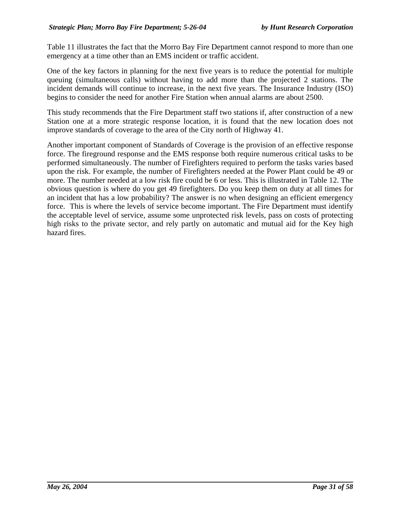Table 11 illustrates the fact that the Morro Bay Fire Department cannot respond to more than one emergency at a time other than an EMS incident or traffic accident.

One of the key factors in planning for the next five years is to reduce the potential for multiple queuing (simultaneous calls) without having to add more than the projected 2 stations. The incident demands will continue to increase, in the next five years. The Insurance Industry (ISO) begins to consider the need for another Fire Station when annual alarms are about 2500.

This study recommends that the Fire Department staff two stations if, after construction of a new Station one at a more strategic response location, it is found that the new location does not improve standards of coverage to the area of the City north of Highway 41.

Another important component of Standards of Coverage is the provision of an effective response force. The fireground response and the EMS response both require numerous critical tasks to be performed simultaneously. The number of Firefighters required to perform the tasks varies based upon the risk. For example, the number of Firefighters needed at the Power Plant could be 49 or more. The number needed at a low risk fire could be 6 or less. This is illustrated in Table 12. The obvious question is where do you get 49 firefighters. Do you keep them on duty at all times for an incident that has a low probability? The answer is no when designing an efficient emergency force. This is where the levels of service become important. The Fire Department must identify the acceptable level of service, assume some unprotected risk levels, pass on costs of protecting high risks to the private sector, and rely partly on automatic and mutual aid for the Key high hazard fires.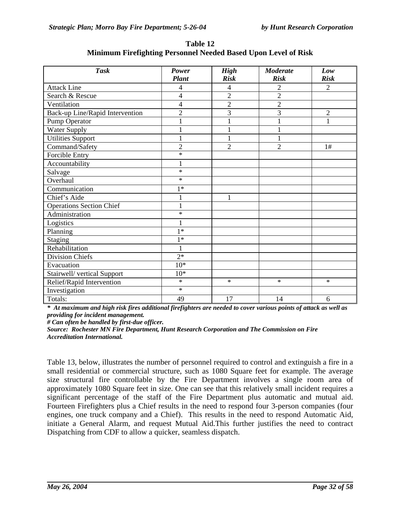| <b>Task</b>                     | Power          | <b>High</b>    | <b>Moderate</b> | Low            |
|---------------------------------|----------------|----------------|-----------------|----------------|
|                                 | <b>Plant</b>   | <b>Risk</b>    | <b>Risk</b>     | <b>Risk</b>    |
| <b>Attack Line</b>              | 4              | $\overline{4}$ | 2               | 2              |
| Search & Rescue                 | 4              | $\overline{2}$ | $\overline{2}$  |                |
| Ventilation                     | $\overline{4}$ | $\overline{2}$ | $\overline{2}$  |                |
| Back-up Line/Rapid Intervention | $\overline{c}$ | 3              | 3               | $\overline{2}$ |
| Pump Operator                   | 1              | 1              |                 | 1              |
| <b>Water Supply</b>             | $\mathbf{1}$   | $\mathbf{1}$   |                 |                |
| <b>Utilities Support</b>        | $\mathbf{1}$   | $\mathbf 1$    | $\mathbf{1}$    |                |
| Command/Safety                  | $\overline{c}$ | $\overline{2}$ | $\overline{2}$  | 1#             |
| Forcible Entry                  | $\ast$         |                |                 |                |
| Accountability                  | 1              |                |                 |                |
| Salvage                         | $\ast$         |                |                 |                |
| Overhaul                        | $\ast$         |                |                 |                |
| Communication                   | $1*$           |                |                 |                |
| Chief's Aide                    | $\mathbf{1}$   | $\mathbf{1}$   |                 |                |
| <b>Operations Section Chief</b> | $\mathbf{1}$   |                |                 |                |
| Administration                  | $\ast$         |                |                 |                |
| Logistics                       | 1              |                |                 |                |
| Planning                        | $1*$           |                |                 |                |
| Staging                         | $1*$           |                |                 |                |
| Rehabilitation                  | $\mathbf{1}$   |                |                 |                |
| <b>Division Chiefs</b>          | $2*$           |                |                 |                |
| Evacuation                      | $10*$          |                |                 |                |
| Stairwell/vertical Support      | $10*$          |                |                 |                |
| Relief/Rapid Intervention       | $\ast$         | $\ast$         | $\ast$          | $\ast$         |
| Investigation                   | $\ast$         |                |                 |                |
| Totals:                         | 49             | 17             | 14              | 6              |

**Table 12 Minimum Firefighting Personnel Needed Based Upon Level of Risk**

*\* At maximum and high risk fires additional firefighters are needed to cover various points of attack as well as providing for incident management.* 

*# Can often be handled by first-due officer.*

*Source: Rochester MN Fire Department, Hunt Research Corporation and The Commission on Fire Accreditation International.*

Table 13, below, illustrates the number of personnel required to control and extinguish a fire in a small residential or commercial structure, such as 1080 Square feet for example. The average size structural fire controllable by the Fire Department involves a single room area of approximately 1080 Square feet in size. One can see that this relatively small incident requires a significant percentage of the staff of the Fire Department plus automatic and mutual aid. Fourteen Firefighters plus a Chief results in the need to respond four 3-person companies (four engines, one truck company and a Chief). This results in the need to respond Automatic Aid, initiate a General Alarm, and request Mutual Aid.This further justifies the need to contract Dispatching from CDF to allow a quicker, seamless dispatch.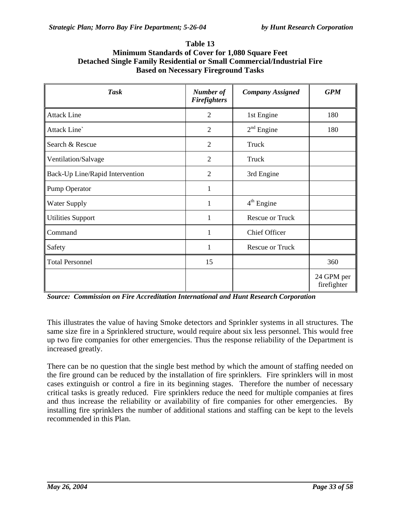| <b>Task</b>                     | Number of<br><b>Firefighters</b> | <b>Company Assigned</b> | <b>GPM</b>                |
|---------------------------------|----------------------------------|-------------------------|---------------------------|
| <b>Attack Line</b>              | $\overline{2}$                   | 1st Engine              | 180                       |
| Attack Line`                    | 2                                | $2nd$ Engine            | 180                       |
| Search & Rescue                 | $\overline{2}$                   | Truck                   |                           |
| Ventilation/Salvage             | $\overline{2}$                   | Truck                   |                           |
| Back-Up Line/Rapid Intervention | $\overline{2}$                   | 3rd Engine              |                           |
| Pump Operator                   | 1                                |                         |                           |
| <b>Water Supply</b>             | 1                                | $4th$ Engine            |                           |
| <b>Utilities Support</b>        | 1                                | <b>Rescue or Truck</b>  |                           |
| Command                         | 1                                | <b>Chief Officer</b>    |                           |
| Safety                          | 1                                | <b>Rescue or Truck</b>  |                           |
| <b>Total Personnel</b>          | 15                               |                         | 360                       |
|                                 |                                  |                         | 24 GPM per<br>firefighter |

**Table 13 Minimum Standards of Cover for 1,080 Square Feet Detached Single Family Residential or Small Commercial/Industrial Fire Based on Necessary Fireground Tasks**

*Source: Commission on Fire Accreditation International and Hunt Research Corporation*

This illustrates the value of having Smoke detectors and Sprinkler systems in all structures. The same size fire in a Sprinklered structure, would require about six less personnel. This would free up two fire companies for other emergencies. Thus the response reliability of the Department is increased greatly.

There can be no question that the single best method by which the amount of staffing needed on the fire ground can be reduced by the installation of fire sprinklers. Fire sprinklers will in most cases extinguish or control a fire in its beginning stages. Therefore the number of necessary critical tasks is greatly reduced. Fire sprinklers reduce the need for multiple companies at fires and thus increase the reliability or availability of fire companies for other emergencies. By installing fire sprinklers the number of additional stations and staffing can be kept to the levels recommended in this Plan.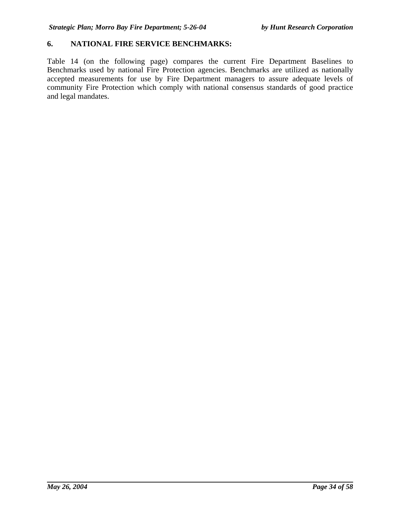### **6. NATIONAL FIRE SERVICE BENCHMARKS:**

Table 14 (on the following page) compares the current Fire Department Baselines to Benchmarks used by national Fire Protection agencies. Benchmarks are utilized as nationally accepted measurements for use by Fire Department managers to assure adequate levels of community Fire Protection which comply with national consensus standards of good practice and legal mandates.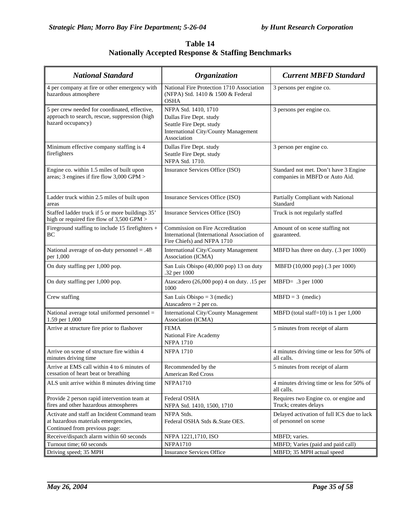| Table 14                                                      |
|---------------------------------------------------------------|
| <b>Nationally Accepted Response &amp; Staffing Benchmarks</b> |

| <b>National Standard</b>                                                                                            | <b>Organization</b>                                                                                                                | <b>Current MBFD Standard</b>                                            |  |
|---------------------------------------------------------------------------------------------------------------------|------------------------------------------------------------------------------------------------------------------------------------|-------------------------------------------------------------------------|--|
| 4 per company at fire or other emergency with<br>hazardous atmosphere                                               | National Fire Protection 1710 Association<br>(NFPA) Std. 1410 & 1500 & Federal<br><b>OSHA</b>                                      | 3 persons per engine co.                                                |  |
| 5 per crew needed for coordinated, effective,<br>approach to search, rescue, suppression (high<br>hazard occupancy) | NFPA Std. 1410, 1710<br>Dallas Fire Dept. study<br>Seattle Fire Dept. study<br>International City/County Management<br>Association | 3 persons per engine co.                                                |  |
| Minimum effective company staffing is 4<br>firefighters                                                             | Dallas Fire Dept. study<br>Seattle Fire Dept. study<br>NFPA Std. 1710.                                                             | 3 person per engine co.                                                 |  |
| Engine co. within 1.5 miles of built upon<br>areas; 3 engines if fire flow 3,000 GPM >                              | Insurance Services Office (ISO)                                                                                                    | Standard not met. Don't have 3 Engine<br>companies in MBFD or Auto Aid. |  |
| Ladder truck within 2.5 miles of built upon<br>areas                                                                | Insurance Services Office (ISO)                                                                                                    | Partially Compliant with National<br>Standard                           |  |
| Staffed ladder truck if 5 or more buildings 35'<br>high or required fire flow of 3,500 GPM >                        | Insurance Services Office (ISO)                                                                                                    | Truck is not regularly staffed                                          |  |
| Fireground staffing to include 15 firefighters +<br>BC                                                              | Commission on Fire Accreditation<br>International (International Association of<br>Fire Chiefs) and NFPA 1710                      | Amount of on scene staffing not<br>guaranteed.                          |  |
| National average of on-duty personnel = $.48$<br>per 1,000                                                          | International City/County Management<br>Association (ICMA)                                                                         | MBFD has three on duty. (.3 per 1000)                                   |  |
| On duty staffing per 1,000 pop.                                                                                     | San Luis Obispo (40,000 pop) 13 on duty<br>.32 per 1000                                                                            | MBFD (10,000 pop) (.3 per 1000)                                         |  |
| On duty staffing per 1,000 pop.                                                                                     | Atascadero (26,000 pop) 4 on duty. .15 per<br>1000                                                                                 | MBFD= .3 per 1000                                                       |  |
| Crew staffing                                                                                                       | San Luis Obispo = $3$ (medic)<br>Atascadero = $2$ per co.                                                                          | $MBFD = 3$ (medic)                                                      |  |
| National average total uniformed personnel =<br>1.59 per 1,000                                                      | International City/County Management<br>Association (ICMA)                                                                         | MBFD (total staff= $10$ ) is 1 per 1,000                                |  |
| Arrive at structure fire prior to flashover                                                                         | <b>FEMA</b><br>National Fire Academy<br><b>NFPA 1710</b>                                                                           | 5 minutes from receipt of alarm                                         |  |
| Arrive on scene of structure fire within 4<br>minutes driving time                                                  | <b>NFPA 1710</b>                                                                                                                   | 4 minutes driving time or less for 50% of<br>all calls.                 |  |
| Arrive at EMS call within 4 to 6 minutes of<br>cessation of heart beat or breathing                                 | Recommended by the<br>American Red Cross                                                                                           | 5 minutes from receipt of alarm                                         |  |
| ALS unit arrive within 8 minutes driving time                                                                       | <b>NFPA1710</b>                                                                                                                    | 4 minutes driving time or less for 50% of<br>all calls.                 |  |
| Provide 2 person rapid intervention team at<br>fires and other hazardous atmospheres                                | Federal OSHA<br>NFPA Std. 1410, 1500, 1710                                                                                         | Requires two Engine co. or engine and<br>Truck; creates delays          |  |
| Activate and staff an Incident Command team<br>at hazardous materials emergencies,<br>Continued from previous page: | NFPA Stds.<br>Federal OSHA Stds & State OES.                                                                                       | Delayed activation of full ICS due to lack<br>of personnel on scene     |  |
| Receive/dispatch alarm within 60 seconds                                                                            | NFPA 1221,1710, ISO                                                                                                                | MBFD; varies.                                                           |  |
| Turnout time; 60 seconds                                                                                            | <b>NFPA1710</b>                                                                                                                    | MBFD; Varies (paid and paid call)                                       |  |
| Driving speed; 35 MPH                                                                                               | <b>Insurance Services Office</b>                                                                                                   | MBFD; 35 MPH actual speed                                               |  |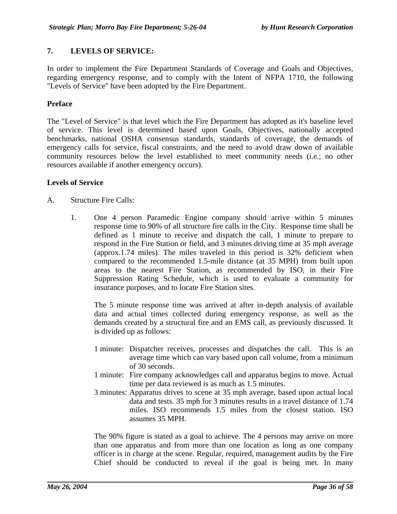# **7. LEVELS OF SERVICE:**

In order to implement the Fire Department Standards of Coverage and Goals and Objectives, regarding emergency response, and to comply with the Intent of NFPA 1710, the following "Levels of Service" have been adopted by the Fire Department.

#### **Preface**

The "Level of Service" is that level which the Fire Department has adopted as it's baseline level of service. This level is determined based upon Goals, Objectives, nationally accepted benchmarks, national OSHA consensus standards, standards of coverage, the demands of emergency calls for service, fiscal constraints, and the need to avoid draw down of available community resources below the level established to meet community needs (i.e.; no other resources available if another emergency occurs).

#### **Levels of Service**

- A. Structure Fire Calls:
	- 1. One 4 person Paramedic Engine company should arrive within 5 minutes response time to 90% of all structure fire calls in the City. Response time shall be defined as 1 minute to receive and dispatch the call, 1 minute to prepare to respond in the Fire Station or field, and 3 minutes driving time at 35 mph average (approx.1.74 miles). The miles traveled in this period is 32% deficient when compared to the recommended 1.5-mile distance (at 35 MPH) from built upon areas to the nearest Fire Station, as recommended by ISO, in their Fire Suppression Rating Schedule, which is used to evaluate a community for insurance purposes, and to locate Fire Station sites.

The 5 minute response time was arrived at after in-depth analysis of available data and actual times collected during emergency response, as well as the demands created by a structural fire and an EMS call, as previously discussed. It is divided up as follows:

- 1 minute: Dispatcher receives, processes and dispatches the call. This is an average time which can vary based upon call volume, from a minimum of 30 seconds.
- 1 minute: Fire company acknowledges call and apparatus begins to move. Actual time per data reviewed is as much as 1.5 minutes.
- 3 minutes: Apparatus drives to scene at 35 mph average, based upon actual local data and tests. 35 mph for 3 minutes results in a travel distance of 1.74 miles. ISO recommends 1.5 miles from the closest station. ISO assumes 35 MPH.

The 90% figure is stated as a goal to achieve. The 4 persons may arrive on more than one apparatus and from more than one location as long as one company officer is in charge at the scene. Regular, required, management audits by the Fire Chief should be conducted to reveal if the goal is being met. In many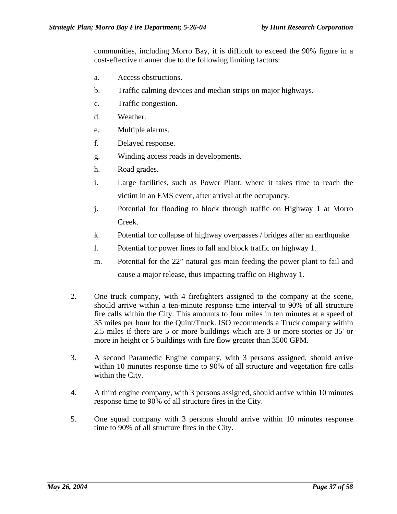communities, including Morro Bay, it is difficult to exceed the 90% figure in a cost-effective manner due to the following limiting factors:

- a. Access obstructions.
- b. Traffic calming devices and median strips on major highways.
- c. Traffic congestion.
- d. Weather.
- e. Multiple alarms.
- f. Delayed response.
- g. Winding access roads in developments.
- h. Road grades.
- i. Large facilities, such as Power Plant, where it takes time to reach the victim in an EMS event, after arrival at the occupancy.
- j. Potential for flooding to block through traffic on Highway 1 at Morro Creek.
- k. Potential for collapse of highway overpasses / bridges after an earthquake
- l. Potential for power lines to fall and block traffic on highway 1.
- m. Potential for the 22" natural gas main feeding the power plant to fail and cause a major release, thus impacting traffic on Highway 1.
- 2. One truck company, with 4 firefighters assigned to the company at the scene, should arrive within a ten-minute response time interval to 90% of all structure fire calls within the City. This amounts to four miles in ten minutes at a speed of 35 miles per hour for the Quint/Truck. ISO recommends a Truck company within 2.5 miles if there are 5 or more buildings which are 3 or more stories or 35' or more in height or 5 buildings with fire flow greater than 3500 GPM.
- 3. A second Paramedic Engine company, with 3 persons assigned, should arrive within 10 minutes response time to 90% of all structure and vegetation fire calls within the City.
- 4. A third engine company, with 3 persons assigned, should arrive within 10 minutes response time to 90% of all structure fires in the City.
- 5. One squad company with 3 persons should arrive within 10 minutes response time to 90% of all structure fires in the City.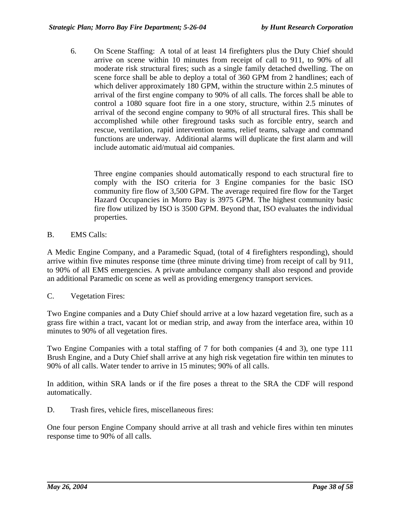6. On Scene Staffing: A total of at least 14 firefighters plus the Duty Chief should arrive on scene within 10 minutes from receipt of call to 911, to 90% of all moderate risk structural fires; such as a single family detached dwelling. The on scene force shall be able to deploy a total of 360 GPM from 2 handlines; each of which deliver approximately 180 GPM, within the structure within 2.5 minutes of arrival of the first engine company to 90% of all calls. The forces shall be able to control a 1080 square foot fire in a one story, structure, within 2.5 minutes of arrival of the second engine company to 90% of all structural fires. This shall be accomplished while other fireground tasks such as forcible entry, search and rescue, ventilation, rapid intervention teams, relief teams, salvage and command functions are underway. Additional alarms will duplicate the first alarm and will include automatic aid/mutual aid companies.

Three engine companies should automatically respond to each structural fire to comply with the ISO criteria for 3 Engine companies for the basic ISO community fire flow of 3,500 GPM. The average required fire flow for the Target Hazard Occupancies in Morro Bay is 3975 GPM. The highest community basic fire flow utilized by ISO is 3500 GPM. Beyond that, ISO evaluates the individual properties.

B. EMS Calls:

A Medic Engine Company, and a Paramedic Squad, (total of 4 firefighters responding), should arrive within five minutes response time (three minute driving time) from receipt of call by 911, to 90% of all EMS emergencies. A private ambulance company shall also respond and provide an additional Paramedic on scene as well as providing emergency transport services.

C. Vegetation Fires:

Two Engine companies and a Duty Chief should arrive at a low hazard vegetation fire, such as a grass fire within a tract, vacant lot or median strip, and away from the interface area, within 10 minutes to 90% of all vegetation fires.

Two Engine Companies with a total staffing of 7 for both companies (4 and 3), one type 111 Brush Engine, and a Duty Chief shall arrive at any high risk vegetation fire within ten minutes to 90% of all calls. Water tender to arrive in 15 minutes; 90% of all calls.

In addition, within SRA lands or if the fire poses a threat to the SRA the CDF will respond automatically.

D. Trash fires, vehicle fires, miscellaneous fires:

One four person Engine Company should arrive at all trash and vehicle fires within ten minutes response time to 90% of all calls.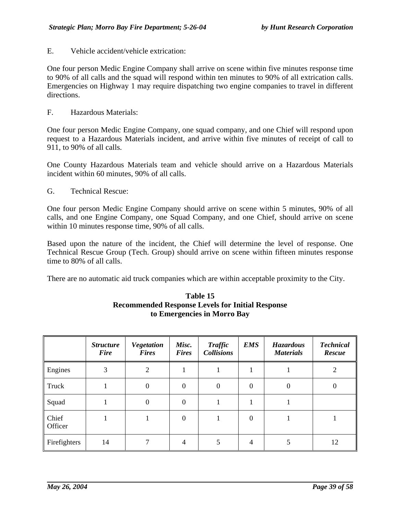E. Vehicle accident/vehicle extrication:

One four person Medic Engine Company shall arrive on scene within five minutes response time to 90% of all calls and the squad will respond within ten minutes to 90% of all extrication calls. Emergencies on Highway 1 may require dispatching two engine companies to travel in different directions.

F. Hazardous Materials:

One four person Medic Engine Company, one squad company, and one Chief will respond upon request to a Hazardous Materials incident, and arrive within five minutes of receipt of call to 911, to 90% of all calls.

One County Hazardous Materials team and vehicle should arrive on a Hazardous Materials incident within 60 minutes, 90% of all calls.

G. Technical Rescue:

One four person Medic Engine Company should arrive on scene within 5 minutes, 90% of all calls, and one Engine Company, one Squad Company, and one Chief, should arrive on scene within 10 minutes response time, 90% of all calls.

Based upon the nature of the incident, the Chief will determine the level of response. One Technical Rescue Group (Tech. Group) should arrive on scene within fifteen minutes response time to 80% of all calls.

There are no automatic aid truck companies which are within acceptable proximity to the City.

|                  | <b>Structure</b><br><b>Fire</b> | <b>Vegetation</b><br><b>Fires</b> | Misc.<br><b>Fires</b> | <b>Traffic</b><br><b>Collisions</b> | <b>EMS</b>   | <b>Hazardous</b><br><b>Materials</b> | <b>Technical</b><br><b>Rescue</b> |
|------------------|---------------------------------|-----------------------------------|-----------------------|-------------------------------------|--------------|--------------------------------------|-----------------------------------|
| Engines          | 3                               | $\overline{2}$                    |                       |                                     |              |                                      | 2                                 |
| Truck            |                                 | $\boldsymbol{0}$                  | $\theta$              | $\theta$                            | $\mathbf{0}$ | 0                                    | 0                                 |
| Squad            |                                 | $\mathbf{0}$                      | $\Omega$              |                                     |              |                                      |                                   |
| Chief<br>Officer |                                 |                                   | $\Omega$              |                                     | $\Omega$     |                                      |                                   |
| Firefighters     | 14                              | 7                                 | 4                     | 5                                   | 4            |                                      | 12                                |

### **Table 15 Recommended Response Levels for Initial Response to Emergencies in Morro Bay**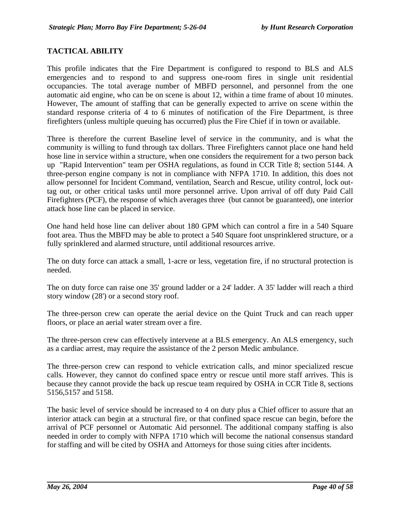### **TACTICAL ABILITY**

This profile indicates that the Fire Department is configured to respond to BLS and ALS emergencies and to respond to and suppress one-room fires in single unit residential occupancies. The total average number of MBFD personnel, and personnel from the one automatic aid engine, who can be on scene is about 12, within a time frame of about 10 minutes. However, The amount of staffing that can be generally expected to arrive on scene within the standard response criteria of 4 to 6 minutes of notification of the Fire Department, is three firefighters (unless multiple queuing has occurred) plus the Fire Chief if in town or available.

Three is therefore the current Baseline level of service in the community, and is what the community is willing to fund through tax dollars. Three Firefighters cannot place one hand held hose line in service within a structure, when one considers the requirement for a two person back up "Rapid Intervention" team per OSHA regulations, as found in CCR Title 8; section 5144. A three-person engine company is not in compliance with NFPA 1710. In addition, this does not allow personnel for Incident Command, ventilation, Search and Rescue, utility control, lock outtag out, or other critical tasks until more personnel arrive. Upon arrival of off duty Paid Call Firefighters (PCF), the response of which averages three (but cannot be guaranteed), one interior attack hose line can be placed in service.

One hand held hose line can deliver about 180 GPM which can control a fire in a 540 Square foot area. Thus the MBFD may be able to protect a 540 Square foot unsprinklered structure, or a fully sprinklered and alarmed structure, until additional resources arrive.

The on duty force can attack a small, 1-acre or less, vegetation fire, if no structural protection is needed.

The on duty force can raise one 35' ground ladder or a 24' ladder. A 35' ladder will reach a third story window (28') or a second story roof.

The three-person crew can operate the aerial device on the Quint Truck and can reach upper floors, or place an aerial water stream over a fire.

The three-person crew can effectively intervene at a BLS emergency. An ALS emergency, such as a cardiac arrest, may require the assistance of the 2 person Medic ambulance.

The three-person crew can respond to vehicle extrication calls, and minor specialized rescue calls. However, they cannot do confined space entry or rescue until more staff arrives. This is because they cannot provide the back up rescue team required by OSHA in CCR Title 8, sections 5156,5157 and 5158.

The basic level of service should be increased to 4 on duty plus a Chief officer to assure that an interior attack can begin at a structural fire, or that confined space rescue can begin, before the arrival of PCF personnel or Automatic Aid personnel. The additional company staffing is also needed in order to comply with NFPA 1710 which will become the national consensus standard for staffing and will be cited by OSHA and Attorneys for those suing cities after incidents.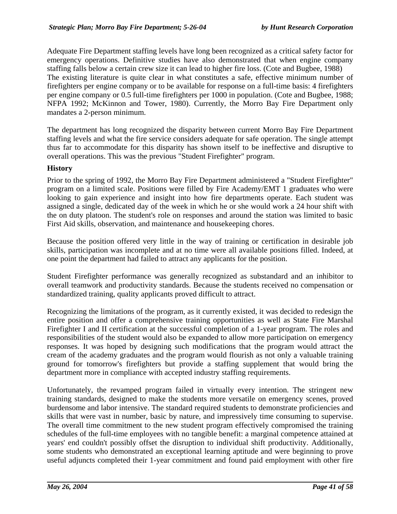Adequate Fire Department staffing levels have long been recognized as a critical safety factor for emergency operations. Definitive studies have also demonstrated that when engine company staffing falls below a certain crew size it can lead to higher fire loss. (Cote and Bugbee, 1988) The existing literature is quite clear in what constitutes a safe, effective minimum number of firefighters per engine company or to be available for response on a full-time basis: 4 firefighters per engine company or 0.5 full-time firefighters per 1000 in population. (Cote and Bugbee, 1988; NFPA 1992; McKinnon and Tower, 1980). Currently, the Morro Bay Fire Department only mandates a 2-person minimum.

The department has long recognized the disparity between current Morro Bay Fire Department staffing levels and what the fire service considers adequate for safe operation. The single attempt thus far to accommodate for this disparity has shown itself to be ineffective and disruptive to overall operations. This was the previous "Student Firefighter" program.

### **History**

Prior to the spring of 1992, the Morro Bay Fire Department administered a "Student Firefighter" program on a limited scale. Positions were filled by Fire Academy/EMT 1 graduates who were looking to gain experience and insight into how fire departments operate. Each student was assigned a single, dedicated day of the week in which he or she would work a 24 hour shift with the on duty platoon. The student's role on responses and around the station was limited to basic First Aid skills, observation, and maintenance and housekeeping chores.

Because the position offered very little in the way of training or certification in desirable job skills, participation was incomplete and at no time were all available positions filled. Indeed, at one point the department had failed to attract any applicants for the position.

Student Firefighter performance was generally recognized as substandard and an inhibitor to overall teamwork and productivity standards. Because the students received no compensation or standardized training, quality applicants proved difficult to attract.

Recognizing the limitations of the program, as it currently existed, it was decided to redesign the entire position and offer a comprehensive training opportunities as well as State Fire Marshal Firefighter I and II certification at the successful completion of a 1-year program. The roles and responsibilities of the student would also be expanded to allow more participation on emergency responses. It was hoped by designing such modifications that the program would attract the cream of the academy graduates and the program would flourish as not only a valuable training ground for tomorrow's firefighters but provide a staffing supplement that would bring the department more in compliance with accepted industry staffing requirements.

Unfortunately, the revamped program failed in virtually every intention. The stringent new training standards, designed to make the students more versatile on emergency scenes, proved burdensome and labor intensive. The standard required students to demonstrate proficiencies and skills that were vast in number, basic by nature, and impressively time consuming to supervise. The overall time commitment to the new student program effectively compromised the training schedules of the full-time employees with no tangible benefit: a marginal competence attained at years' end couldn't possibly offset the disruption to individual shift productivity. Additionally, some students who demonstrated an exceptional learning aptitude and were beginning to prove useful adjuncts completed their 1-year commitment and found paid employment with other fire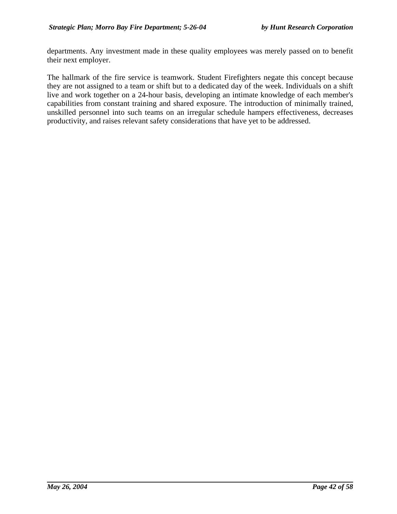departments. Any investment made in these quality employees was merely passed on to benefit their next employer.

The hallmark of the fire service is teamwork. Student Firefighters negate this concept because they are not assigned to a team or shift but to a dedicated day of the week. Individuals on a shift live and work together on a 24-hour basis, developing an intimate knowledge of each member's capabilities from constant training and shared exposure. The introduction of minimally trained, unskilled personnel into such teams on an irregular schedule hampers effectiveness, decreases productivity, and raises relevant safety considerations that have yet to be addressed.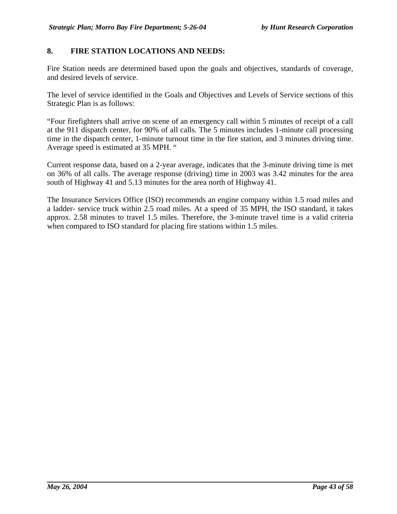# **8. FIRE STATION LOCATIONS AND NEEDS:**

Fire Station needs are determined based upon the goals and objectives, standards of coverage, and desired levels of service.

The level of service identified in the Goals and Objectives and Levels of Service sections of this Strategic Plan is as follows:

"Four firefighters shall arrive on scene of an emergency call within 5 minutes of receipt of a call at the 911 dispatch center, for 90% of all calls. The 5 minutes includes 1-minute call processing time in the dispatch center, 1-minute turnout time in the fire station, and 3 minutes driving time. Average speed is estimated at 35 MPH. "

Current response data, based on a 2-year average, indicates that the 3-minute driving time is met on 36% of all calls. The average response (driving) time in 2003 was 3.42 minutes for the area south of Highway 41 and 5.13 minutes for the area north of Highway 41.

The Insurance Services Office (ISO) recommends an engine company within 1.5 road miles and a ladder- service truck within 2.5 road miles. At a speed of 35 MPH, the ISO standard, it takes approx. 2.58 minutes to travel 1.5 miles. Therefore, the 3-minute travel time is a valid criteria when compared to ISO standard for placing fire stations within 1.5 miles.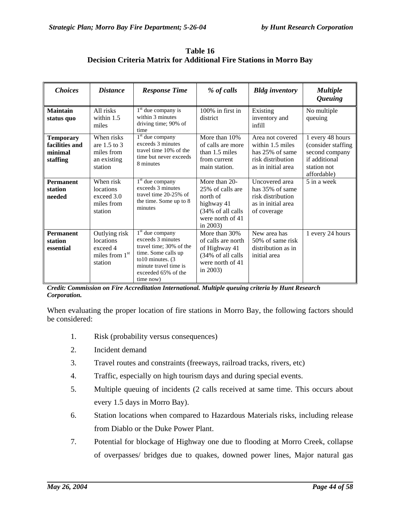| <b>Choices</b>                                            | <b>Distance</b>                                                                 | <b>Response Time</b>                                                                                                                                                          | % of calls                                                                                                           | <b>Bldg</b> inventory                                                                              | <b>Multiple</b><br><i><b>Queuing</b></i>                                                                |
|-----------------------------------------------------------|---------------------------------------------------------------------------------|-------------------------------------------------------------------------------------------------------------------------------------------------------------------------------|----------------------------------------------------------------------------------------------------------------------|----------------------------------------------------------------------------------------------------|---------------------------------------------------------------------------------------------------------|
| <b>Maintain</b><br>status quo                             | All risks<br>within $1.5$<br>miles                                              | $1st$ due company is<br>within 3 minutes<br>driving time; 90% of<br>time                                                                                                      | 100% in first in<br>district                                                                                         | Existing<br>inventory and<br>infill                                                                | No multiple<br>queuing                                                                                  |
| <b>Temporary</b><br>facilities and<br>minimal<br>staffing | When risks<br>are $1.5$ to $3$<br>miles from<br>an existing<br>station          | 1 <sup>st</sup> due company<br>exceeds 3 minutes<br>travel time 10% of the<br>time but never exceeds<br>8 minutes                                                             | More than 10%<br>of calls are more<br>than 1.5 miles<br>from current<br>main station.                                | Area not covered<br>within 1.5 miles<br>has 25% of same<br>risk distribution<br>as in initial area | 1 every 48 hours<br>(consider staffing<br>second company<br>if additional<br>station not<br>affordable) |
| <b>Permanent</b><br>station<br>needed                     | When risk<br>locations<br>exceed 3.0<br>miles from<br>station                   | $1st$ due company<br>exceeds 3 minutes<br>travel time 20-25% of<br>the time. Some up to 8<br>minutes                                                                          | More than 20-<br>25% of calls are<br>north of<br>highway 41<br>(34% of all calls)<br>were north of 41<br>in $2003$ ) | Uncovered area<br>has 35% of same<br>risk distribution<br>as in initial area<br>of coverage        | 5 in a week                                                                                             |
| <b>Permanent</b><br>station<br>essential                  | Outlying risk<br>locations<br>exceed 4<br>miles from 1 <sup>st</sup><br>station | $1st$ due company<br>exceeds 3 minutes<br>travel time; 30% of the<br>time. Some calls up<br>to 10 minutes. $(3)$<br>minute travel time is<br>exceeded 65% of the<br>time now) | More than 30%<br>of calls are north<br>of Highway 41<br>(34% of all calls<br>were north of 41<br>in $2003$ )         | New area has<br>50% of same risk<br>distribution as in<br>initial area                             | 1 every 24 hours                                                                                        |

**Table 16 Decision Criteria Matrix for Additional Fire Stations in Morro Bay**

*Credit: Commission on Fire Accreditation International. Multiple queuing criteria by Hunt Research Corporation.*

When evaluating the proper location of fire stations in Morro Bay, the following factors should be considered:

- 1. Risk (probability versus consequences)
- 2. Incident demand
- 3. Travel routes and constraints (freeways, railroad tracks, rivers, etc)
- 4. Traffic, especially on high tourism days and during special events.
- 5. Multiple queuing of incidents (2 calls received at same time. This occurs about every 1.5 days in Morro Bay).
- 6. Station locations when compared to Hazardous Materials risks, including release from Diablo or the Duke Power Plant.
- 7. Potential for blockage of Highway one due to flooding at Morro Creek, collapse of overpasses/ bridges due to quakes, downed power lines, Major natural gas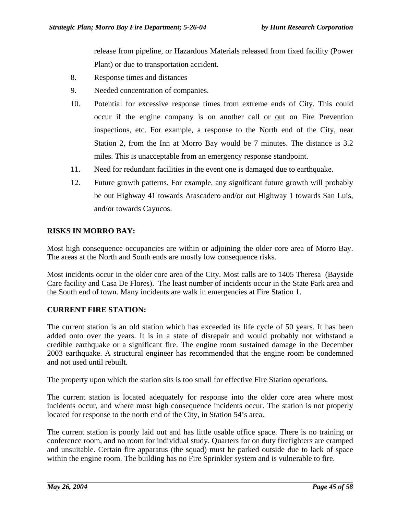release from pipeline, or Hazardous Materials released from fixed facility (Power Plant) or due to transportation accident.

- 8. Response times and distances
- 9. Needed concentration of companies.
- 10. Potential for excessive response times from extreme ends of City. This could occur if the engine company is on another call or out on Fire Prevention inspections, etc. For example, a response to the North end of the City, near Station 2, from the Inn at Morro Bay would be 7 minutes. The distance is 3.2 miles. This is unacceptable from an emergency response standpoint.
- 11. Need for redundant facilities in the event one is damaged due to earthquake.
- 12. Future growth patterns. For example, any significant future growth will probably be out Highway 41 towards Atascadero and/or out Highway 1 towards San Luis, and/or towards Cayucos.

# **RISKS IN MORRO BAY:**

Most high consequence occupancies are within or adjoining the older core area of Morro Bay. The areas at the North and South ends are mostly low consequence risks.

Most incidents occur in the older core area of the City. Most calls are to 1405 Theresa (Bayside Care facility and Casa De Flores). The least number of incidents occur in the State Park area and the South end of town. Many incidents are walk in emergencies at Fire Station 1.

# **CURRENT FIRE STATION:**

The current station is an old station which has exceeded its life cycle of 50 years. It has been added onto over the years. It is in a state of disrepair and would probably not withstand a credible earthquake or a significant fire. The engine room sustained damage in the December 2003 earthquake. A structural engineer has recommended that the engine room be condemned and not used until rebuilt.

The property upon which the station sits is too small for effective Fire Station operations.

The current station is located adequately for response into the older core area where most incidents occur, and where most high consequence incidents occur. The station is not properly located for response to the north end of the City, in Station 54's area.

The current station is poorly laid out and has little usable office space. There is no training or conference room, and no room for individual study. Quarters for on duty firefighters are cramped and unsuitable. Certain fire apparatus (the squad) must be parked outside due to lack of space within the engine room. The building has no Fire Sprinkler system and is vulnerable to fire.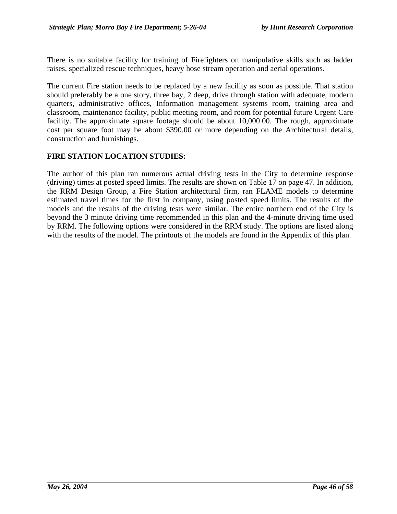There is no suitable facility for training of Firefighters on manipulative skills such as ladder raises, specialized rescue techniques, heavy hose stream operation and aerial operations.

The current Fire station needs to be replaced by a new facility as soon as possible. That station should preferably be a one story, three bay, 2 deep, drive through station with adequate, modern quarters, administrative offices, Information management systems room, training area and classroom, maintenance facility, public meeting room, and room for potential future Urgent Care facility. The approximate square footage should be about 10,000.00. The rough, approximate cost per square foot may be about \$390.00 or more depending on the Architectural details, construction and furnishings.

# **FIRE STATION LOCATION STUDIES:**

The author of this plan ran numerous actual driving tests in the City to determine response (driving) times at posted speed limits. The results are shown on Table 17 on page 47. In addition, the RRM Design Group, a Fire Station architectural firm, ran FLAME models to determine estimated travel times for the first in company, using posted speed limits. The results of the models and the results of the driving tests were similar. The entire northern end of the City is beyond the 3 minute driving time recommended in this plan and the 4-minute driving time used by RRM. The following options were considered in the RRM study. The options are listed along with the results of the model. The printouts of the models are found in the Appendix of this plan.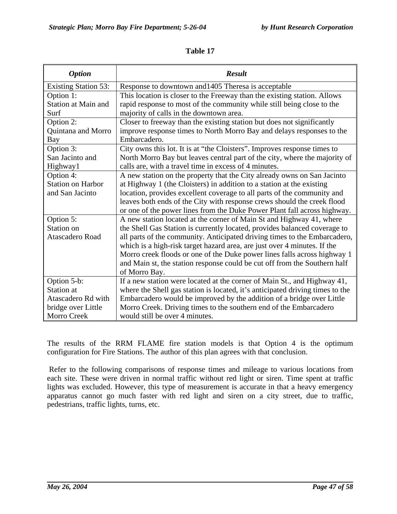| <b>Option</b>               | <b>Result</b>                                                                 |
|-----------------------------|-------------------------------------------------------------------------------|
| <b>Existing Station 53:</b> | Response to downtown and 1405 Theresa is acceptable                           |
| Option 1:                   | This location is closer to the Freeway than the existing station. Allows      |
| Station at Main and         | rapid response to most of the community while still being close to the        |
| Surf                        | majority of calls in the downtown area.                                       |
| Option 2:                   | Closer to freeway than the existing station but does not significantly        |
| Quintana and Morro          | improve response times to North Morro Bay and delays responses to the         |
| Bay                         | Embarcadero.                                                                  |
| Option 3:                   | City owns this lot. It is at "the Cloisters". Improves response times to      |
| San Jacinto and             | North Morro Bay but leaves central part of the city, where the majority of    |
| Highway1                    | calls are, with a travel time in excess of 4 minutes.                         |
| Option 4:                   | A new station on the property that the City already owns on San Jacinto       |
| <b>Station on Harbor</b>    | at Highway 1 (the Cloisters) in addition to a station at the existing         |
| and San Jacinto             | location, provides excellent coverage to all parts of the community and       |
|                             | leaves both ends of the City with response crews should the creek flood       |
|                             | or one of the power lines from the Duke Power Plant fall across highway.      |
| Option 5:                   | A new station located at the corner of Main St and Highway 41, where          |
| Station on                  | the Shell Gas Station is currently located, provides balanced coverage to     |
| <b>Atascadero Road</b>      | all parts of the community. Anticipated driving times to the Embarcadero,     |
|                             | which is a high-risk target hazard area, are just over 4 minutes. If the      |
|                             | Morro creek floods or one of the Duke power lines falls across highway 1      |
|                             | and Main st, the station response could be cut off from the Southern half     |
|                             | of Morro Bay.                                                                 |
| Option 5-b:                 | If a new station were located at the corner of Main St., and Highway 41,      |
| Station at                  | where the Shell gas station is located, it's anticipated driving times to the |
| Atascadero Rd with          | Embarcadero would be improved by the addition of a bridge over Little         |
| bridge over Little          | Morro Creek. Driving times to the southern end of the Embarcadero             |
| <b>Morro Creek</b>          | would still be over 4 minutes.                                                |

**Table 17**

The results of the RRM FLAME fire station models is that Option 4 is the optimum configuration for Fire Stations. The author of this plan agrees with that conclusion.

Refer to the following comparisons of response times and mileage to various locations from each site. These were driven in normal traffic without red light or siren. Time spent at traffic lights was excluded. However, this type of measurement is accurate in that a heavy emergency apparatus cannot go much faster with red light and siren on a city street, due to traffic, pedestrians, traffic lights, turns, etc.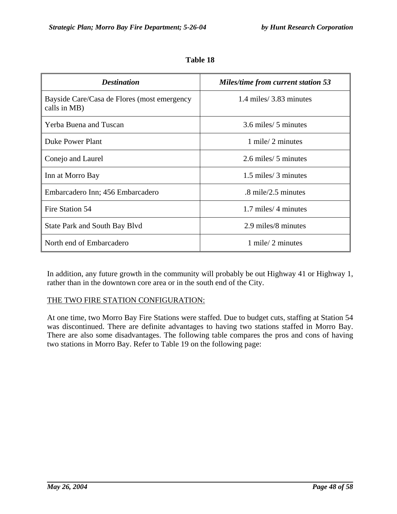| <b>Destination</b>                                          | <b>Miles/time from current station 53</b> |  |
|-------------------------------------------------------------|-------------------------------------------|--|
| Bayside Care/Casa de Flores (most emergency<br>calls in MB) | 1.4 miles/3.83 minutes                    |  |
| Yerba Buena and Tuscan                                      | 3.6 miles/ 5 minutes                      |  |
| Duke Power Plant                                            | 1 mile/2 minutes                          |  |
| Conejo and Laurel                                           | 2.6 miles/ 5 minutes                      |  |
| Inn at Morro Bay                                            | 1.5 miles/ 3 minutes                      |  |
| Embarcadero Inn; 456 Embarcadero                            | $.8 \text{ mile}/2.5 \text{ minutes}$     |  |
| Fire Station 54                                             | 1.7 miles/4 minutes                       |  |
| <b>State Park and South Bay Blvd</b>                        | 2.9 miles/8 minutes                       |  |
| North end of Embarcadero                                    | $1$ mile/ $2$ minutes                     |  |

**Table 18**

In addition, any future growth in the community will probably be out Highway 41 or Highway 1, rather than in the downtown core area or in the south end of the City.

#### THE TWO FIRE STATION CONFIGURATION:

At one time, two Morro Bay Fire Stations were staffed. Due to budget cuts, staffing at Station 54 was discontinued. There are definite advantages to having two stations staffed in Morro Bay. There are also some disadvantages. The following table compares the pros and cons of having two stations in Morro Bay. Refer to Table 19 on the following page: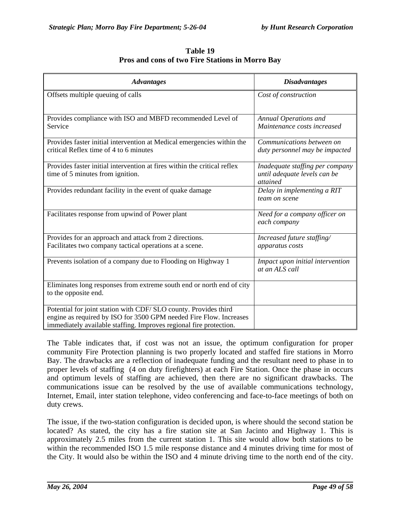| Table 19                                               |  |
|--------------------------------------------------------|--|
| <b>Pros and cons of two Fire Stations in Morro Bay</b> |  |

| <b>Advantages</b>                                                                                                                                                                                            | <b>Disadvantages</b>                                                               |
|--------------------------------------------------------------------------------------------------------------------------------------------------------------------------------------------------------------|------------------------------------------------------------------------------------|
| Offsets multiple queuing of calls                                                                                                                                                                            | Cost of construction                                                               |
| Provides compliance with ISO and MBFD recommended Level of<br>Service                                                                                                                                        | Annual Operations and<br>Maintenance costs increased                               |
| Provides faster initial intervention at Medical emergencies within the<br>critical Reflex time of 4 to 6 minutes                                                                                             | Communications between on<br>duty personnel may be impacted                        |
| Provides faster initial intervention at fires within the critical reflex<br>time of 5 minutes from ignition.                                                                                                 | Inadequate staffing per company<br>until adequate levels can be<br><i>attained</i> |
| Provides redundant facility in the event of quake damage                                                                                                                                                     | Delay in implementing a RIT<br>team on scene                                       |
| Facilitates response from upwind of Power plant                                                                                                                                                              | Need for a company officer on<br>each company                                      |
| Provides for an approach and attack from 2 directions.<br>Facilitates two company tactical operations at a scene.                                                                                            | Increased future staffing/<br>apparatus costs                                      |
| Prevents isolation of a company due to Flooding on Highway 1                                                                                                                                                 | Impact upon initial intervention<br>at an ALS call                                 |
| Eliminates long responses from extreme south end or north end of city<br>to the opposite end.                                                                                                                |                                                                                    |
| Potential for joint station with CDF/ SLO county. Provides third<br>engine as required by ISO for 3500 GPM needed Fire Flow. Increases<br>immediately available staffing. Improves regional fire protection. |                                                                                    |

The Table indicates that, if cost was not an issue, the optimum configuration for proper community Fire Protection planning is two properly located and staffed fire stations in Morro Bay. The drawbacks are a reflection of inadequate funding and the resultant need to phase in to proper levels of staffing (4 on duty firefighters) at each Fire Station. Once the phase in occurs and optimum levels of staffing are achieved, then there are no significant drawbacks. The communications issue can be resolved by the use of available communications technology, Internet, Email, inter station telephone, video conferencing and face-to-face meetings of both on duty crews.

The issue, if the two-station configuration is decided upon, is where should the second station be located? As stated, the city has a fire station site at San Jacinto and Highway 1. This is approximately 2.5 miles from the current station 1. This site would allow both stations to be within the recommended ISO 1.5 mile response distance and 4 minutes driving time for most of the City. It would also be within the ISO and 4 minute driving time to the north end of the city.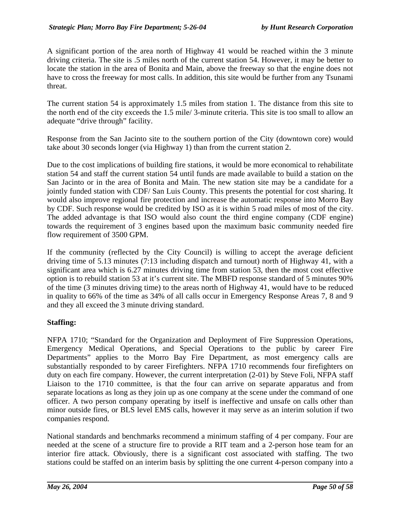A significant portion of the area north of Highway 41 would be reached within the 3 minute driving criteria. The site is .5 miles north of the current station 54. However, it may be better to locate the station in the area of Bonita and Main, above the freeway so that the engine does not have to cross the freeway for most calls. In addition, this site would be further from any Tsunami threat.

The current station 54 is approximately 1.5 miles from station 1. The distance from this site to the north end of the city exceeds the 1.5 mile/ 3-minute criteria. This site is too small to allow an adequate "drive through" facility.

Response from the San Jacinto site to the southern portion of the City (downtown core) would take about 30 seconds longer (via Highway 1) than from the current station 2.

Due to the cost implications of building fire stations, it would be more economical to rehabilitate station 54 and staff the current station 54 until funds are made available to build a station on the San Jacinto or in the area of Bonita and Main. The new station site may be a candidate for a jointly funded station with CDF/ San Luis County. This presents the potential for cost sharing. It would also improve regional fire protection and increase the automatic response into Morro Bay by CDF. Such response would be credited by ISO as it is within 5 road miles of most of the city. The added advantage is that ISO would also count the third engine company (CDF engine) towards the requirement of 3 engines based upon the maximum basic community needed fire flow requirement of 3500 GPM.

If the community (reflected by the City Council) is willing to accept the average deficient driving time of 5.13 minutes (7:13 including dispatch and turnout) north of Highway 41, with a significant area which is 6.27 minutes driving time from station 53, then the most cost effective option is to rebuild station 53 at it's current site. The MBFD response standard of 5 minutes 90% of the time (3 minutes driving time) to the areas north of Highway 41, would have to be reduced in quality to 66% of the time as 34% of all calls occur in Emergency Response Areas 7, 8 and 9 and they all exceed the 3 minute driving standard.

# **Staffing:**

NFPA 1710; "Standard for the Organization and Deployment of Fire Suppression Operations, Emergency Medical Operations, and Special Operations to the public by career Fire Departments" applies to the Morro Bay Fire Department, as most emergency calls are substantially responded to by career Firefighters. NFPA 1710 recommends four firefighters on duty on each fire company. However, the current interpretation (2-01) by Steve Foli, NFPA staff Liaison to the 1710 committee, is that the four can arrive on separate apparatus and from separate locations as long as they join up as one company at the scene under the command of one officer. A two person company operating by itself is ineffective and unsafe on calls other than minor outside fires, or BLS level EMS calls, however it may serve as an interim solution if two companies respond.

National standards and benchmarks recommend a minimum staffing of 4 per company. Four are needed at the scene of a structure fire to provide a RIT team and a 2-person hose team for an interior fire attack. Obviously, there is a significant cost associated with staffing. The two stations could be staffed on an interim basis by splitting the one current 4-person company into a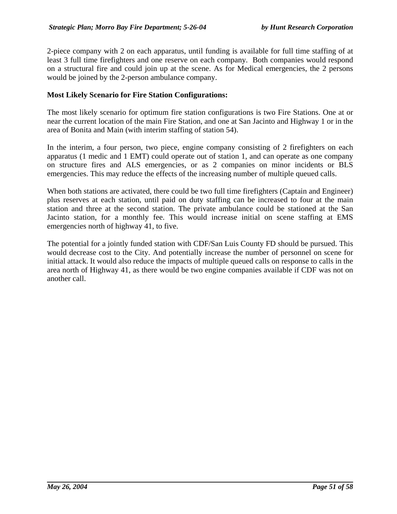2-piece company with 2 on each apparatus, until funding is available for full time staffing of at least 3 full time firefighters and one reserve on each company. Both companies would respond on a structural fire and could join up at the scene. As for Medical emergencies, the 2 persons would be joined by the 2-person ambulance company.

### **Most Likely Scenario for Fire Station Configurations:**

The most likely scenario for optimum fire station configurations is two Fire Stations. One at or near the current location of the main Fire Station, and one at San Jacinto and Highway 1 or in the area of Bonita and Main (with interim staffing of station 54).

In the interim, a four person, two piece, engine company consisting of 2 firefighters on each apparatus (1 medic and 1 EMT) could operate out of station 1, and can operate as one company on structure fires and ALS emergencies, or as 2 companies on minor incidents or BLS emergencies. This may reduce the effects of the increasing number of multiple queued calls.

When both stations are activated, there could be two full time firefighters (Captain and Engineer) plus reserves at each station, until paid on duty staffing can be increased to four at the main station and three at the second station. The private ambulance could be stationed at the San Jacinto station, for a monthly fee. This would increase initial on scene staffing at EMS emergencies north of highway 41, to five.

The potential for a jointly funded station with CDF/San Luis County FD should be pursued. This would decrease cost to the City. And potentially increase the number of personnel on scene for initial attack. It would also reduce the impacts of multiple queued calls on response to calls in the area north of Highway 41, as there would be two engine companies available if CDF was not on another call.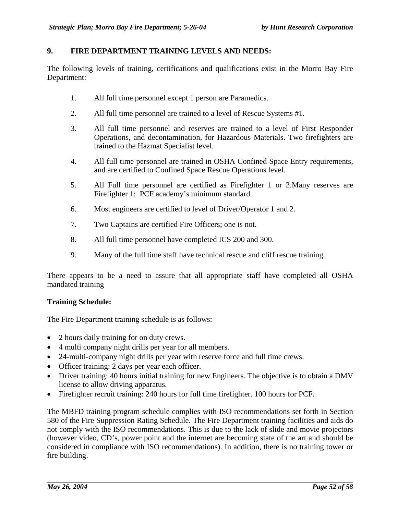### **9. FIRE DEPARTMENT TRAINING LEVELS AND NEEDS:**

The following levels of training, certifications and qualifications exist in the Morro Bay Fire Department:

- 1. All full time personnel except 1 person are Paramedics.
- 2. All full time personnel are trained to a level of Rescue Systems #1.
- 3. All full time personnel and reserves are trained to a level of First Responder Operations, and decontamination, for Hazardous Materials. Two firefighters are trained to the Hazmat Specialist level.
- 4. All full time personnel are trained in OSHA Confined Space Entry requirements, and are certified to Confined Space Rescue Operations level.
- 5. All Full time personnel are certified as Firefighter 1 or 2.Many reserves are Firefighter 1; PCF academy's minimum standard.
- 6. Most engineers are certified to level of Driver/Operator 1 and 2.
- 7. Two Captains are certified Fire Officers; one is not.
- 8. All full time personnel have completed ICS 200 and 300.
- 9. Many of the full time staff have technical rescue and cliff rescue training.

There appears to be a need to assure that all appropriate staff have completed all OSHA mandated training

#### **Training Schedule:**

The Fire Department training schedule is as follows:

- 2 hours daily training for on duty crews.
- 4 multi company night drills per year for all members.
- 24-multi-company night drills per year with reserve force and full time crews.
- Officer training: 2 days per year each officer.
- Driver training: 40 hours initial training for new Engineers. The objective is to obtain a DMV license to allow driving apparatus.
- Firefighter recruit training: 240 hours for full time firefighter. 100 hours for PCF.

The MBFD training program schedule complies with ISO recommendations set forth in Section 580 of the Fire Suppression Rating Schedule. The Fire Department training facilities and aids do not comply with the ISO recommendations. This is due to the lack of slide and movie projectors (however video, CD's, power point and the internet are becoming state of the art and should be considered in compliance with ISO recommendations). In addition, there is no training tower or fire building.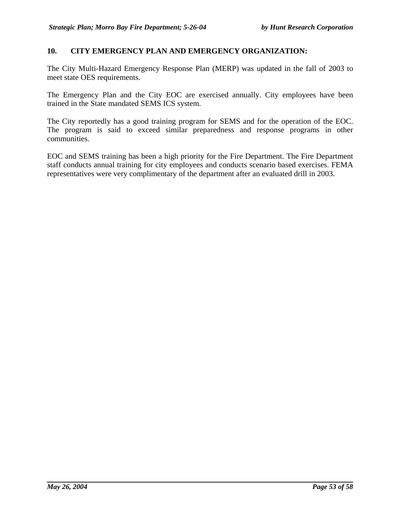### **10. CITY EMERGENCY PLAN AND EMERGENCY ORGANIZATION:**

The City Multi-Hazard Emergency Response Plan (MERP) was updated in the fall of 2003 to meet state OES requirements.

The Emergency Plan and the City EOC are exercised annually. City employees have been trained in the State mandated SEMS ICS system.

The City reportedly has a good training program for SEMS and for the operation of the EOC. The program is said to exceed similar preparedness and response programs in other communities.

EOC and SEMS training has been a high priority for the Fire Department. The Fire Department staff conducts annual training for city employees and conducts scenario based exercises. FEMA representatives were very complimentary of the department after an evaluated drill in 2003.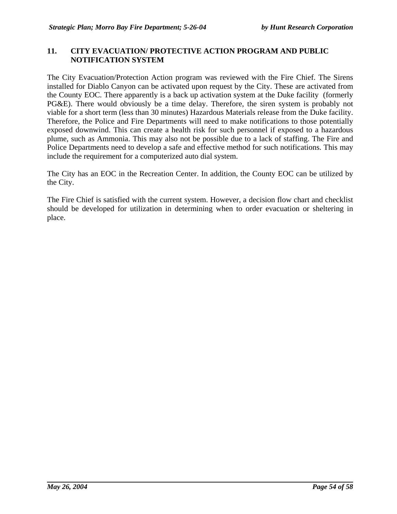### **11. CITY EVACUATION/ PROTECTIVE ACTION PROGRAM AND PUBLIC NOTIFICATION SYSTEM**

The City Evacuation/Protection Action program was reviewed with the Fire Chief. The Sirens installed for Diablo Canyon can be activated upon request by the City. These are activated from the County EOC. There apparently is a back up activation system at the Duke facility (formerly PG&E). There would obviously be a time delay. Therefore, the siren system is probably not viable for a short term (less than 30 minutes) Hazardous Materials release from the Duke facility. Therefore, the Police and Fire Departments will need to make notifications to those potentially exposed downwind. This can create a health risk for such personnel if exposed to a hazardous plume, such as Ammonia. This may also not be possible due to a lack of staffing. The Fire and Police Departments need to develop a safe and effective method for such notifications. This may include the requirement for a computerized auto dial system.

The City has an EOC in the Recreation Center. In addition, the County EOC can be utilized by the City.

The Fire Chief is satisfied with the current system. However, a decision flow chart and checklist should be developed for utilization in determining when to order evacuation or sheltering in place.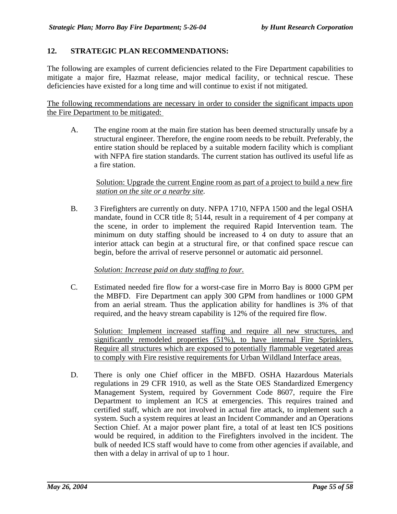# **12. STRATEGIC PLAN RECOMMENDATIONS:**

The following are examples of current deficiencies related to the Fire Department capabilities to mitigate a major fire, Hazmat release, major medical facility, or technical rescue. These deficiencies have existed for a long time and will continue to exist if not mitigated.

The following recommendations are necessary in order to consider the significant impacts upon the Fire Department to be mitigated:

A. The engine room at the main fire station has been deemed structurally unsafe by a structural engineer. Therefore, the engine room needs to be rebuilt. Preferably, the entire station should be replaced by a suitable modern facility which is compliant with NFPA fire station standards. The current station has outlived its useful life as a fire station.

### Solution: Upgrade the current Engine room as part of a project to build a new fire  *station on the site or a nearby site.*

B. 3 Firefighters are currently on duty. NFPA 1710, NFPA 1500 and the legal OSHA mandate, found in CCR title 8; 5144, result in a requirement of 4 per company at the scene, in order to implement the required Rapid Intervention team. The minimum on duty staffing should be increased to 4 on duty to assure that an interior attack can begin at a structural fire, or that confined space rescue can begin, before the arrival of reserve personnel or automatic aid personnel.

#### *Solution: Increase paid on duty staffing to four.*

C. Estimated needed fire flow for a worst-case fire in Morro Bay is 8000 GPM per the MBFD. Fire Department can apply 300 GPM from handlines or 1000 GPM from an aerial stream. Thus the application ability for handlines is 3% of that required, and the heavy stream capability is 12% of the required fire flow.

Solution: Implement increased staffing and require all new structures, and significantly remodeled properties (51%), to have internal Fire Sprinklers. Require all structures which are exposed to potentially flammable vegetated areas to comply with Fire resistive requirements for Urban Wildland Interface areas.

D. There is only one Chief officer in the MBFD. OSHA Hazardous Materials regulations in 29 CFR 1910, as well as the State OES Standardized Emergency Management System, required by Government Code 8607, require the Fire Department to implement an ICS at emergencies. This requires trained and certified staff, which are not involved in actual fire attack, to implement such a system. Such a system requires at least an Incident Commander and an Operations Section Chief. At a major power plant fire, a total of at least ten ICS positions would be required, in addition to the Firefighters involved in the incident. The bulk of needed ICS staff would have to come from other agencies if available, and then with a delay in arrival of up to 1 hour.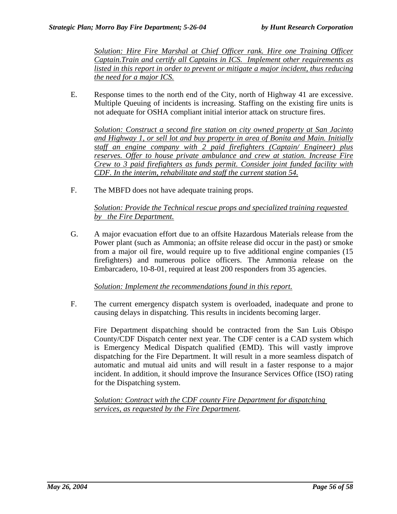*Solution: Hire Fire Marshal at Chief Officer rank. Hire one Training Officer Captain.Train and certify all Captains in ICS. Implement other requirements as listed in this report in order to prevent or mitigate a major incident, thus reducing the need for a major ICS.*

E. Response times to the north end of the City, north of Highway 41 are excessive. Multiple Queuing of incidents is increasing. Staffing on the existing fire units is not adequate for OSHA compliant initial interior attack on structure fires.

*Solution: Construct a second fire station on city owned property at San Jacinto and Highway 1, or sell lot and buy property in area of Bonita and Main. Initially staff an engine company with 2 paid firefighters (Captain/ Engineer) plus reserves. Offer to house private ambulance and crew at station. Increase Fire Crew to 3 paid firefighters as funds permit. Consider joint funded facility with CDF. In the interim, rehabilitate and staff the current station 54.*

F. The MBFD does not have adequate training props.

*Solution: Provide the Technical rescue props and specialized training requested by the Fire Department.*

G. A major evacuation effort due to an offsite Hazardous Materials release from the Power plant (such as Ammonia; an offsite release did occur in the past) or smoke from a major oil fire, would require up to five additional engine companies (15 firefighters) and numerous police officers. The Ammonia release on the Embarcadero, 10-8-01, required at least 200 responders from 35 agencies.

*Solution: Implement the recommendations found in this report.*

F. The current emergency dispatch system is overloaded, inadequate and prone to causing delays in dispatching. This results in incidents becoming larger.

Fire Department dispatching should be contracted from the San Luis Obispo County/CDF Dispatch center next year. The CDF center is a CAD system which is Emergency Medical Dispatch qualified (EMD). This will vastly improve dispatching for the Fire Department. It will result in a more seamless dispatch of automatic and mutual aid units and will result in a faster response to a major incident. In addition, it should improve the Insurance Services Office (ISO) rating for the Dispatching system.

*Solution: Contract with the CDF county Fire Department for dispatching services, as requested by the Fire Department.*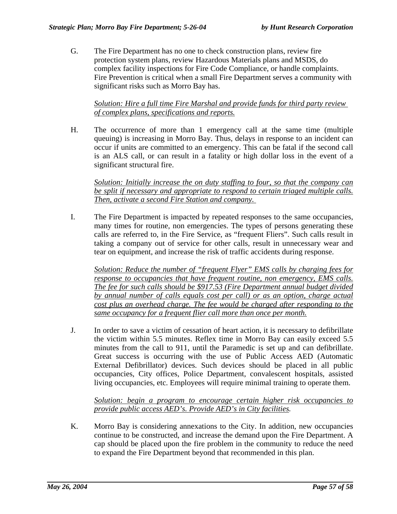G. The Fire Department has no one to check construction plans, review fire protection system plans, review Hazardous Materials plans and MSDS, do complex facility inspections for Fire Code Compliance, or handle complaints. Fire Prevention is critical when a small Fire Department serves a community with significant risks such as Morro Bay has.

*Solution: Hire a full time Fire Marshal and provide funds for third party review of complex plans, specifications and reports.*

H. The occurrence of more than 1 emergency call at the same time (multiple queuing) is increasing in Morro Bay. Thus, delays in response to an incident can occur if units are committed to an emergency. This can be fatal if the second call is an ALS call, or can result in a fatality or high dollar loss in the event of a significant structural fire.

*Solution: Initially increase the on duty staffing to four, so that the company can be split if necessary and appropriate to respond to certain triaged multiple calls. Then, activate a second Fire Station and company.* 

I. The Fire Department is impacted by repeated responses to the same occupancies, many times for routine, non emergencies. The types of persons generating these calls are referred to, in the Fire Service, as "frequent Fliers". Such calls result in taking a company out of service for other calls, result in unnecessary wear and tear on equipment, and increase the risk of traffic accidents during response.

*Solution: Reduce the number of "frequent Flyer" EMS calls by charging fees for response to occupancies that have frequent routine, non emergency, EMS calls. The fee for such calls should be \$917.53 (Fire Department annual budget divided by annual number of calls equals cost per call) or as an option, charge actual cost plus an overhead charge. The fee would be charged after responding to the same occupancy for a frequent flier call more than once per month.*

J. In order to save a victim of cessation of heart action, it is necessary to defibrillate the victim within 5.5 minutes. Reflex time in Morro Bay can easily exceed 5.5 minutes from the call to 911, until the Paramedic is set up and can defibrillate. Great success is occurring with the use of Public Access AED (Automatic External Defibrillator) devices. Such devices should be placed in all public occupancies, City offices, Police Department, convalescent hospitals, assisted living occupancies, etc. Employees will require minimal training to operate them.

*Solution: begin a program to encourage certain higher risk occupancies to provide public access AED's. Provide AED's in City facilities.* 

K. Morro Bay is considering annexations to the City. In addition, new occupancies continue to be constructed, and increase the demand upon the Fire Department. A cap should be placed upon the fire problem in the community to reduce the need to expand the Fire Department beyond that recommended in this plan.